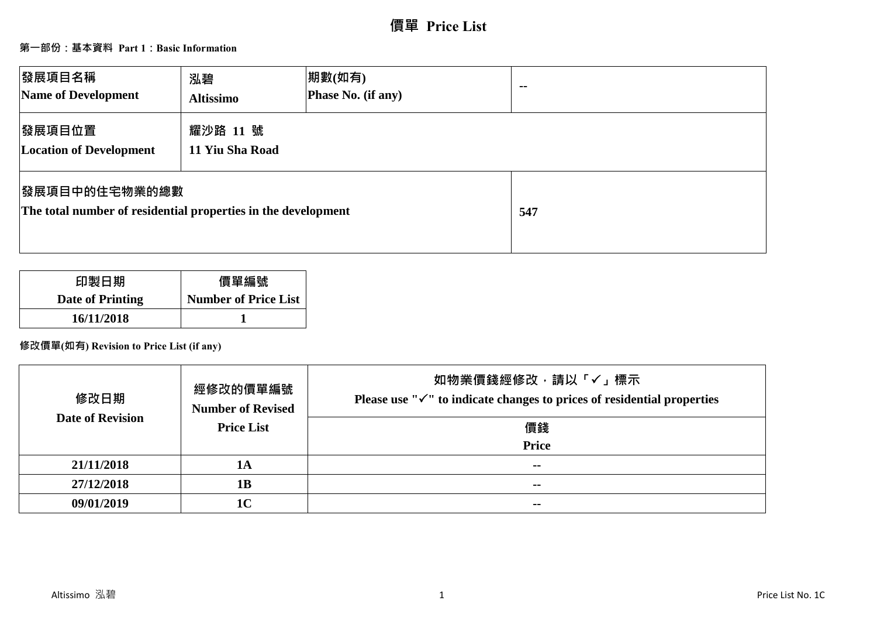# **價單 Price List**

# **第一部份:基本資料 Part 1:Basic Information**

| 發展項目名稱<br>Name of Development                                                          | 泓碧<br><b>Altissimo</b>      | 期數(如有)<br>Phase No. (if any) | $\sim$ $\sim$ |
|----------------------------------------------------------------------------------------|-----------------------------|------------------------------|---------------|
| 發展項目位置<br><b>Location of Development</b>                                               | 耀沙路 11 號<br>11 Yiu Sha Road |                              |               |
| <b> 發展項目中的住宅物業的總數</b><br>The total number of residential properties in the development |                             |                              | 547           |

| 印製日期                    | 價單編號                        |
|-------------------------|-----------------------------|
| <b>Date of Printing</b> | <b>Number of Price List</b> |
| 16/11/2018              |                             |

# **修改價單(如有) Revision to Price List (if any)**

| 修改日期                    | 經修改的價單編號<br><b>Number of Revised</b> | 如物業價錢經修改,請以「√」標示<br>Please use " $\checkmark$ " to indicate changes to prices of residential properties |
|-------------------------|--------------------------------------|---------------------------------------------------------------------------------------------------------|
| <b>Date of Revision</b> | <b>Price List</b>                    | 價錢                                                                                                      |
|                         |                                      | <b>Price</b>                                                                                            |
| 21/11/2018              | 1A                                   | $\sim$ $\sim$                                                                                           |
| 27/12/2018              | 1B                                   | $- -$                                                                                                   |
| 09/01/2019              | 1 <sub>C</sub>                       | $- -$                                                                                                   |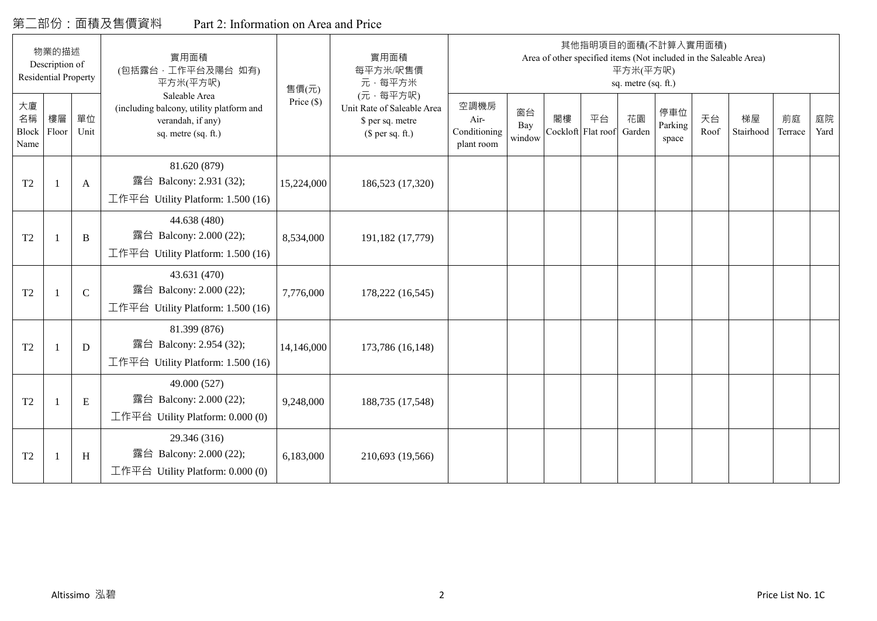# 第二部份:面積及售價資料 Part 2: Information on Area and Price

|                           | 物業的描述<br>Description of<br><b>Residential Property</b> |             | 實用面積<br>(包括露台,工作平台及陽台 如有)<br>平方米(平方呎)                                                                 | 售價(元)        | 實用面積<br>每平方米/呎售價<br>元·每平方米                                                     |                                            |                     |    |                          | 平方米(平方呎)<br>sq. metre (sq. ft.) | 其他指明項目的面積(不計算入實用面積)     |            | Area of other specified items (Not included in the Saleable Area) |               |            |
|---------------------------|--------------------------------------------------------|-------------|-------------------------------------------------------------------------------------------------------|--------------|--------------------------------------------------------------------------------|--------------------------------------------|---------------------|----|--------------------------|---------------------------------|-------------------------|------------|-------------------------------------------------------------------|---------------|------------|
| 大廈<br>名稱<br>Block<br>Name | 樓層<br>Floor                                            | 單位<br>Unit  | Saleable Area<br>(including balcony, utility platform and<br>verandah, if any)<br>sq. metre (sq. ft.) | Price $(\$)$ | (元·每平方呎)<br>Unit Rate of Saleable Area<br>\$ per sq. metre<br>$$$ per sq. ft.) | 空調機房<br>Air-<br>Conditioning<br>plant room | 窗台<br>Bay<br>window | 閣樓 | 平台<br>Cockloft Flat roof | 花園<br>Garden                    | 停車位<br>Parking<br>space | 天台<br>Roof | 梯屋<br>Stairhood                                                   | 前庭<br>Terrace | 庭院<br>Yard |
| T <sub>2</sub>            |                                                        | A           | 81.620 (879)<br>露台 Balcony: 2.931 (32);<br>工作平台 Utility Platform: 1.500 (16)                          | 15,224,000   | 186,523 (17,320)                                                               |                                            |                     |    |                          |                                 |                         |            |                                                                   |               |            |
| T <sub>2</sub>            |                                                        | B           | 44.638 (480)<br>露台 Balcony: 2.000 (22);<br>工作平台 Utility Platform: 1.500 (16)                          | 8,534,000    | 191,182 (17,779)                                                               |                                            |                     |    |                          |                                 |                         |            |                                                                   |               |            |
| T <sub>2</sub>            | -1                                                     | $\mathbf C$ | 43.631 (470)<br>露台 Balcony: 2.000 (22);<br>工作平台 Utility Platform: 1.500 (16)                          | 7,776,000    | 178,222 (16,545)                                                               |                                            |                     |    |                          |                                 |                         |            |                                                                   |               |            |
| T <sub>2</sub>            |                                                        | D           | 81.399 (876)<br>露台 Balcony: 2.954 (32);<br>工作平台 Utility Platform: $1.500(16)$                         | 14,146,000   | 173,786 (16,148)                                                               |                                            |                     |    |                          |                                 |                         |            |                                                                   |               |            |
| T <sub>2</sub>            |                                                        | ${\bf E}$   | 49.000 (527)<br>露台 Balcony: 2.000 (22);<br>工作平台 Utility Platform: $0.000(0)$                          | 9,248,000    | 188,735 (17,548)                                                               |                                            |                     |    |                          |                                 |                         |            |                                                                   |               |            |
| T <sub>2</sub>            |                                                        | H           | 29.346 (316)<br>露台 Balcony: 2.000 (22);<br>工作平台 Utility Platform: 0.000 (0)                           | 6,183,000    | 210,693 (19,566)                                                               |                                            |                     |    |                          |                                 |                         |            |                                                                   |               |            |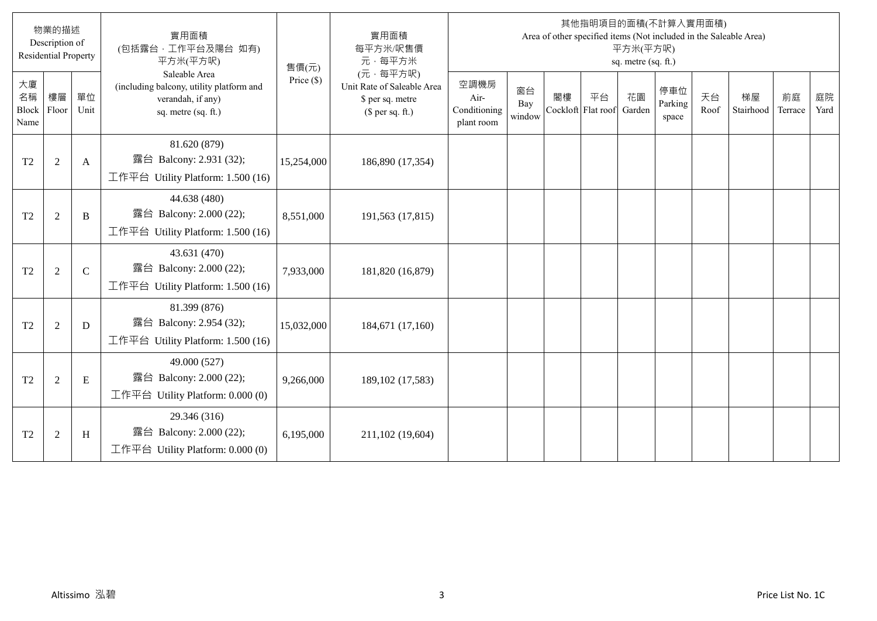|                                  | 物業的描述<br>Description of<br><b>Residential Property</b> |             | 實用面積<br>(包括露台,工作平台及陽台 如有)<br>平方米(平方呎)                                                                 | 售價(元)        | 實用面積<br>每平方米/呎售價<br>元·每平方米                                                     |                                            |                     |                          |    | 平方米(平方呎)<br>sq. metre (sq. ft.) | 其他指明項目的面積(不計算入實用面積)     |            | Area of other specified items (Not included in the Saleable Area) |               |            |
|----------------------------------|--------------------------------------------------------|-------------|-------------------------------------------------------------------------------------------------------|--------------|--------------------------------------------------------------------------------|--------------------------------------------|---------------------|--------------------------|----|---------------------------------|-------------------------|------------|-------------------------------------------------------------------|---------------|------------|
| 大廈<br>名稱<br><b>Block</b><br>Name | 樓層<br>Floor                                            | 單位<br>Unit  | Saleable Area<br>(including balcony, utility platform and<br>verandah, if any)<br>sq. metre (sq. ft.) | Price $(\$)$ | (元·每平方呎)<br>Unit Rate of Saleable Area<br>\$ per sq. metre<br>(\$ per sq. ft.) | 空調機房<br>Air-<br>Conditioning<br>plant room | 窗台<br>Bay<br>window | 閣樓<br>Cockloft Flat roof | 平台 | 花園<br>Garden                    | 停車位<br>Parking<br>space | 天台<br>Roof | 梯屋<br>Stairhood                                                   | 前庭<br>Terrace | 庭院<br>Yard |
| T <sub>2</sub>                   | $\overline{2}$                                         | A           | 81.620 (879)<br>露台 Balcony: 2.931 (32);<br>工作平台 Utility Platform: 1.500 (16)                          | 15,254,000   | 186,890 (17,354)                                                               |                                            |                     |                          |    |                                 |                         |            |                                                                   |               |            |
| T <sub>2</sub>                   | 2                                                      | B           | 44.638 (480)<br>露台 Balcony: 2.000 (22);<br>工作平台 Utility Platform: 1.500 (16)                          | 8,551,000    | 191,563 (17,815)                                                               |                                            |                     |                          |    |                                 |                         |            |                                                                   |               |            |
| T <sub>2</sub>                   | $\overline{2}$                                         | $\mathbf C$ | 43.631 (470)<br>露台 Balcony: 2.000 (22);<br>工作平台 Utility Platform: 1.500 (16)                          | 7,933,000    | 181,820 (16,879)                                                               |                                            |                     |                          |    |                                 |                         |            |                                                                   |               |            |
| T <sub>2</sub>                   | $\overline{2}$                                         | D           | 81.399 (876)<br>露台 Balcony: 2.954 (32);<br>工作平台 Utility Platform: $1.500(16)$                         | 15,032,000   | 184,671 (17,160)                                                               |                                            |                     |                          |    |                                 |                         |            |                                                                   |               |            |
| T <sub>2</sub>                   | $\overline{2}$                                         | E           | 49.000 (527)<br>露台 Balcony: 2.000 (22);<br>工作平台 Utility Platform: 0.000 (0)                           | 9,266,000    | 189, 102 (17, 583)                                                             |                                            |                     |                          |    |                                 |                         |            |                                                                   |               |            |
| T <sub>2</sub>                   | $\overline{2}$                                         | H           | 29.346 (316)<br>露台 Balcony: 2.000 (22);<br>工作平台 Utility Platform: 0.000 (0)                           | 6,195,000    | 211,102 (19,604)                                                               |                                            |                     |                          |    |                                 |                         |            |                                                                   |               |            |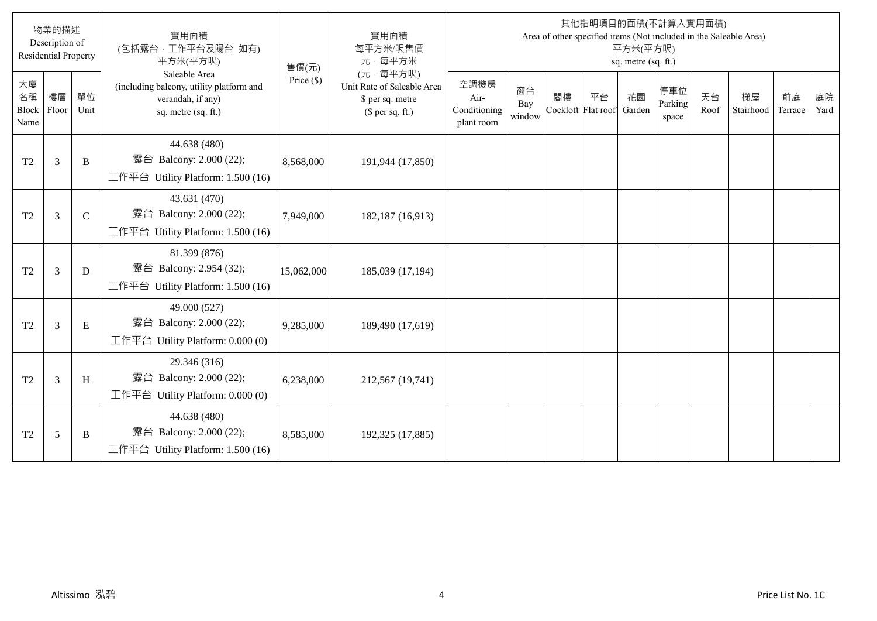|                                  | 物業的描述<br>Description of<br><b>Residential Property</b> |             | 實用面積<br>(包括露台,工作平台及陽台 如有)<br>平方米(平方呎)                                                                 | 售價(元)        | 實用面積<br>每平方米/呎售價<br>元·每平方米                                                     |                                            |                     |                          |    | 平方米(平方呎)<br>sq. metre (sq. ft.) | 其他指明項目的面積(不計算入實用面積)     |            | Area of other specified items (Not included in the Saleable Area) |               |            |
|----------------------------------|--------------------------------------------------------|-------------|-------------------------------------------------------------------------------------------------------|--------------|--------------------------------------------------------------------------------|--------------------------------------------|---------------------|--------------------------|----|---------------------------------|-------------------------|------------|-------------------------------------------------------------------|---------------|------------|
| 大廈<br>名稱<br><b>Block</b><br>Name | 樓層<br>Floor                                            | 單位<br>Unit  | Saleable Area<br>(including balcony, utility platform and<br>verandah, if any)<br>sq. metre (sq. ft.) | Price $(\$)$ | (元·每平方呎)<br>Unit Rate of Saleable Area<br>\$ per sq. metre<br>(\$ per sq. ft.) | 空調機房<br>Air-<br>Conditioning<br>plant room | 窗台<br>Bay<br>window | 閣樓<br>Cockloft Flat roof | 平台 | 花園<br>Garden                    | 停車位<br>Parking<br>space | 天台<br>Roof | 梯屋<br>Stairhood                                                   | 前庭<br>Terrace | 庭院<br>Yard |
| T <sub>2</sub>                   | 3                                                      | B           | 44.638 (480)<br>露台 Balcony: 2.000 (22);<br>工作平台 Utility Platform: 1.500 (16)                          | 8,568,000    | 191,944 (17,850)                                                               |                                            |                     |                          |    |                                 |                         |            |                                                                   |               |            |
| T <sub>2</sub>                   | $\overline{3}$                                         | $\mathbf C$ | 43.631 (470)<br>露台 Balcony: 2.000 (22);<br>工作平台 Utility Platform: 1.500 (16)                          | 7,949,000    | 182,187 (16,913)                                                               |                                            |                     |                          |    |                                 |                         |            |                                                                   |               |            |
| T <sub>2</sub>                   | 3                                                      | D           | 81.399 (876)<br>露台 Balcony: 2.954 (32);<br>工作平台 Utility Platform: 1.500 (16)                          | 15,062,000   | 185,039 (17,194)                                                               |                                            |                     |                          |    |                                 |                         |            |                                                                   |               |            |
| T <sub>2</sub>                   | $\overline{3}$                                         | E           | 49.000 (527)<br>露台 Balcony: 2.000 (22);<br>工作平台 Utility Platform: 0.000 (0)                           | 9,285,000    | 189,490 (17,619)                                                               |                                            |                     |                          |    |                                 |                         |            |                                                                   |               |            |
| T <sub>2</sub>                   | $\mathfrak{Z}$                                         | H           | 29.346 (316)<br>露台 Balcony: 2.000 (22);<br>工作平台 Utility Platform: 0.000 (0)                           | 6,238,000    | 212,567 (19,741)                                                               |                                            |                     |                          |    |                                 |                         |            |                                                                   |               |            |
| T <sub>2</sub>                   | 5                                                      | B           | 44.638 (480)<br>露台 Balcony: 2.000 (22);<br>工作平台 Utility Platform: $1.500(16)$                         | 8,585,000    | 192,325 (17,885)                                                               |                                            |                     |                          |    |                                 |                         |            |                                                                   |               |            |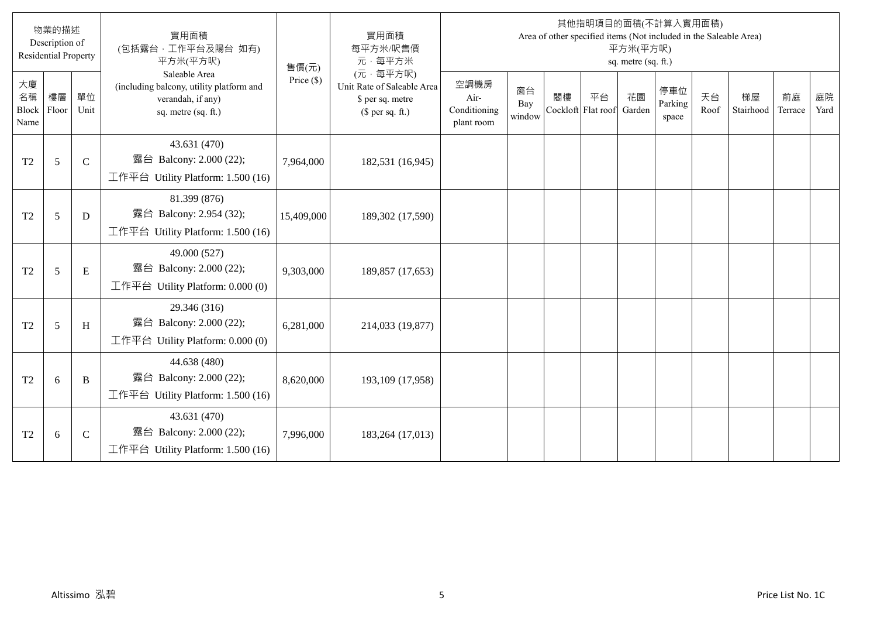|                                  | 物業的描述<br>Description of<br><b>Residential Property</b> |             | 實用面積<br>(包括露台,工作平台及陽台 如有)<br>平方米(平方呎)                                                                 | 售價(元)        | 實用面積<br>每平方米/呎售價<br>元·每平方米                                                     |                                            |                     |                          |    | 平方米(平方呎)<br>sq. metre (sq. ft.) | 其他指明項目的面積(不計算入實用面積)<br>Area of other specified items (Not included in the Saleable Area) |            |                 |               |            |
|----------------------------------|--------------------------------------------------------|-------------|-------------------------------------------------------------------------------------------------------|--------------|--------------------------------------------------------------------------------|--------------------------------------------|---------------------|--------------------------|----|---------------------------------|------------------------------------------------------------------------------------------|------------|-----------------|---------------|------------|
| 大廈<br>名稱<br><b>Block</b><br>Name | 樓層<br>Floor                                            | 單位<br>Unit  | Saleable Area<br>(including balcony, utility platform and<br>verandah, if any)<br>sq. metre (sq. ft.) | Price $(\$)$ | (元·每平方呎)<br>Unit Rate of Saleable Area<br>\$ per sq. metre<br>(\$ per sq. ft.) | 空調機房<br>Air-<br>Conditioning<br>plant room | 窗台<br>Bay<br>window | 閣樓<br>Cockloft Flat roof | 平台 | 花園<br>Garden                    | 停車位<br>Parking<br>space                                                                  | 天台<br>Roof | 梯屋<br>Stairhood | 前庭<br>Terrace | 庭院<br>Yard |
| T <sub>2</sub>                   | 5                                                      | $\mathbf C$ | 43.631 (470)<br>露台 Balcony: 2.000 (22);<br>工作平台 Utility Platform: 1.500 (16)                          | 7,964,000    | 182,531 (16,945)                                                               |                                            |                     |                          |    |                                 |                                                                                          |            |                 |               |            |
| T <sub>2</sub>                   | 5                                                      | D           | 81.399 (876)<br>露台 Balcony: 2.954 (32);<br>工作平台 Utility Platform: $1.500(16)$                         | 15,409,000   | 189,302 (17,590)                                                               |                                            |                     |                          |    |                                 |                                                                                          |            |                 |               |            |
| T <sub>2</sub>                   | 5                                                      | E           | 49.000 (527)<br>露台 Balcony: 2.000 (22);<br>工作平台 Utility Platform: $0.000(0)$                          | 9,303,000    | 189,857 (17,653)                                                               |                                            |                     |                          |    |                                 |                                                                                          |            |                 |               |            |
| T <sub>2</sub>                   | 5                                                      | H           | 29.346 (316)<br>露台 Balcony: 2.000 (22);<br>工作平台 Utility Platform: 0.000 (0)                           | 6,281,000    | 214,033 (19,877)                                                               |                                            |                     |                          |    |                                 |                                                                                          |            |                 |               |            |
| T <sub>2</sub>                   | 6                                                      | B           | 44.638 (480)<br>露台 Balcony: 2.000 (22);<br>工作平台 Utility Platform: $1.500(16)$                         | 8,620,000    | 193,109 (17,958)                                                               |                                            |                     |                          |    |                                 |                                                                                          |            |                 |               |            |
| T <sub>2</sub>                   | 6                                                      | $\mathbf C$ | 43.631 (470)<br>露台 Balcony: 2.000 (22);<br>工作平台 Utility Platform: $1.500(16)$                         | 7,996,000    | 183,264 (17,013)                                                               |                                            |                     |                          |    |                                 |                                                                                          |            |                 |               |            |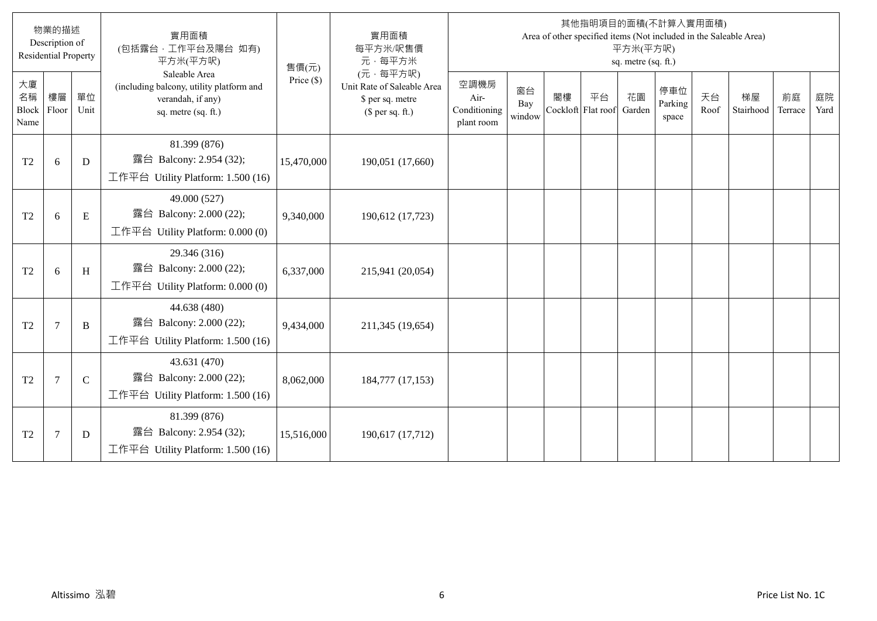|                           | 物業的描述<br>Description of<br><b>Residential Property</b> |              | 實用面積<br>(包括露台,工作平台及陽台 如有)<br>平方米(平方呎)                                                                 | 售價(元)        | 實用面積<br>每平方米/呎售價<br>元·每平方米                                                     |                                            |                     |                          |    | 平方米(平方呎)<br>sq. metre (sq. ft.) | 其他指明項目的面積(不計算入實用面積)     |            | Area of other specified items (Not included in the Saleable Area) |               |            |
|---------------------------|--------------------------------------------------------|--------------|-------------------------------------------------------------------------------------------------------|--------------|--------------------------------------------------------------------------------|--------------------------------------------|---------------------|--------------------------|----|---------------------------------|-------------------------|------------|-------------------------------------------------------------------|---------------|------------|
| 大廈<br>名稱<br>Block<br>Name | 樓層<br>Floor                                            | 單位<br>Unit   | Saleable Area<br>(including balcony, utility platform and<br>verandah, if any)<br>sq. metre (sq. ft.) | Price $(\$)$ | (元·每平方呎)<br>Unit Rate of Saleable Area<br>\$ per sq. metre<br>(\$ per sq. ft.) | 空調機房<br>Air-<br>Conditioning<br>plant room | 窗台<br>Bay<br>window | 閣樓<br>Cockloft Flat roof | 平台 | 花園<br>Garden                    | 停車位<br>Parking<br>space | 天台<br>Roof | 梯屋<br>Stairhood                                                   | 前庭<br>Terrace | 庭院<br>Yard |
| T <sub>2</sub>            | 6                                                      | D            | 81.399 (876)<br>露台 Balcony: 2.954 (32);<br>工作平台 Utility Platform: $1.500(16)$                         | 15,470,000   | 190,051 (17,660)                                                               |                                            |                     |                          |    |                                 |                         |            |                                                                   |               |            |
| T <sub>2</sub>            | 6                                                      | E            | 49.000 (527)<br>露台 Balcony: 2.000 (22);<br>工作平台 Utility Platform: 0.000 (0)                           | 9,340,000    | 190,612 (17,723)                                                               |                                            |                     |                          |    |                                 |                         |            |                                                                   |               |            |
| T <sub>2</sub>            | 6                                                      | H            | 29.346 (316)<br>露台 Balcony: 2.000 (22);<br>工作平台 Utility Platform: $0.000(0)$                          | 6,337,000    | 215,941 (20,054)                                                               |                                            |                     |                          |    |                                 |                         |            |                                                                   |               |            |
| T <sub>2</sub>            | $7\phantom{.0}$                                        | B            | 44.638 (480)<br>露台 Balcony: 2.000 (22);<br>工作平台 Utility Platform: 1.500 (16)                          | 9,434,000    | 211,345 (19,654)                                                               |                                            |                     |                          |    |                                 |                         |            |                                                                   |               |            |
| T <sub>2</sub>            | $7\phantom{.0}$                                        | $\mathsf{C}$ | 43.631 (470)<br>露台 Balcony: 2.000 (22);<br>工作平台 Utility Platform: 1.500 (16)                          | 8,062,000    | 184,777 (17,153)                                                               |                                            |                     |                          |    |                                 |                         |            |                                                                   |               |            |
| T2                        | $\overline{7}$                                         | D            | 81.399 (876)<br>露台 Balcony: 2.954 (32);<br>工作平台 Utility Platform: $1.500(16)$                         | 15,516,000   | 190,617 (17,712)                                                               |                                            |                     |                          |    |                                 |                         |            |                                                                   |               |            |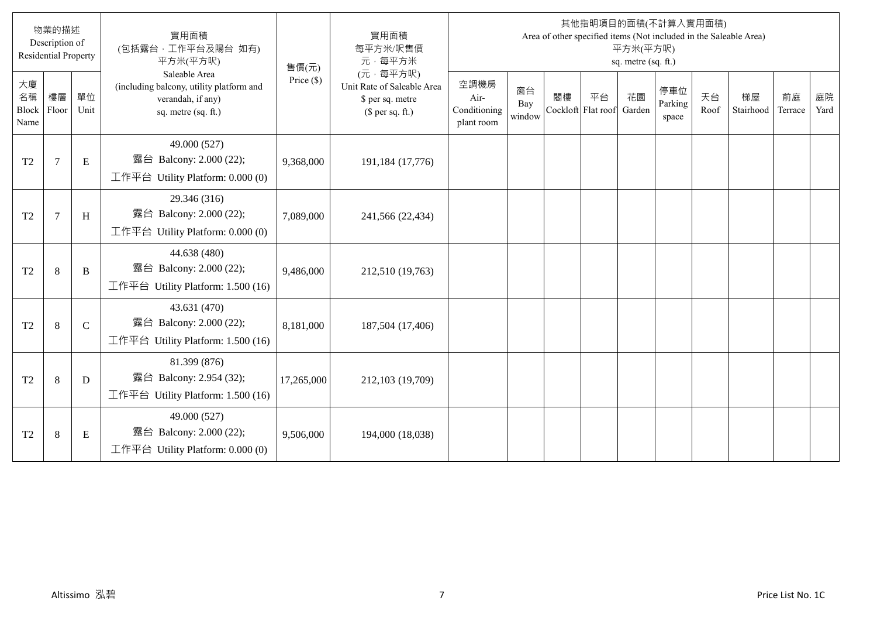|                                  | 物業的描述<br>Description of<br><b>Residential Property</b> |               | 實用面積<br>(包括露台,工作平台及陽台 如有)<br>平方米(平方呎)                                                                 | 售價(元)        | 實用面積<br>每平方米/呎售價<br>元·每平方米                                                     |                                            |                     |                          |    | 平方米(平方呎)<br>sq. metre (sq. ft.) | 其他指明項目的面積(不計算入實用面積)     |            | Area of other specified items (Not included in the Saleable Area) |               |            |
|----------------------------------|--------------------------------------------------------|---------------|-------------------------------------------------------------------------------------------------------|--------------|--------------------------------------------------------------------------------|--------------------------------------------|---------------------|--------------------------|----|---------------------------------|-------------------------|------------|-------------------------------------------------------------------|---------------|------------|
| 大廈<br>名稱<br><b>Block</b><br>Name | 樓層<br>Floor                                            | 單位<br>Unit    | Saleable Area<br>(including balcony, utility platform and<br>verandah, if any)<br>sq. metre (sq. ft.) | Price $(\$)$ | (元·每平方呎)<br>Unit Rate of Saleable Area<br>\$ per sq. metre<br>(\$ per sq. ft.) | 空調機房<br>Air-<br>Conditioning<br>plant room | 窗台<br>Bay<br>window | 閣樓<br>Cockloft Flat roof | 平台 | 花園<br>Garden                    | 停車位<br>Parking<br>space | 天台<br>Roof | 梯屋<br>Stairhood                                                   | 前庭<br>Terrace | 庭院<br>Yard |
| T <sub>2</sub>                   | $\overline{7}$                                         | E             | 49.000 (527)<br>露台 Balcony: 2.000 (22);<br>工作平台 Utility Platform: 0.000 (0)                           | 9,368,000    | 191,184 (17,776)                                                               |                                            |                     |                          |    |                                 |                         |            |                                                                   |               |            |
| T <sub>2</sub>                   | 7                                                      | H             | 29.346 (316)<br>露台 Balcony: 2.000 (22);<br>工作平台 Utility Platform: 0.000 (0)                           | 7,089,000    | 241,566 (22,434)                                                               |                                            |                     |                          |    |                                 |                         |            |                                                                   |               |            |
| T <sub>2</sub>                   | $\,8\,$                                                | B             | 44.638 (480)<br>露台 Balcony: 2.000 (22);<br>工作平台 Utility Platform: 1.500 (16)                          | 9,486,000    | 212,510 (19,763)                                                               |                                            |                     |                          |    |                                 |                         |            |                                                                   |               |            |
| T <sub>2</sub>                   | 8                                                      | $\mathcal{C}$ | 43.631 (470)<br>露台 Balcony: 2.000 (22);<br>工作平台 Utility Platform: $1.500(16)$                         | 8,181,000    | 187,504 (17,406)                                                               |                                            |                     |                          |    |                                 |                         |            |                                                                   |               |            |
| T <sub>2</sub>                   | 8                                                      | D             | 81.399 (876)<br>露台 Balcony: 2.954 (32);<br>工作平台 Utility Platform: 1.500 (16)                          | 17,265,000   | 212,103 (19,709)                                                               |                                            |                     |                          |    |                                 |                         |            |                                                                   |               |            |
| T <sub>2</sub>                   | $\,8\,$                                                | E             | 49.000 (527)<br>露台 Balcony: 2.000 (22);<br>工作平台 Utility Platform: 0.000 (0)                           | 9,506,000    | 194,000 (18,038)                                                               |                                            |                     |                          |    |                                 |                         |            |                                                                   |               |            |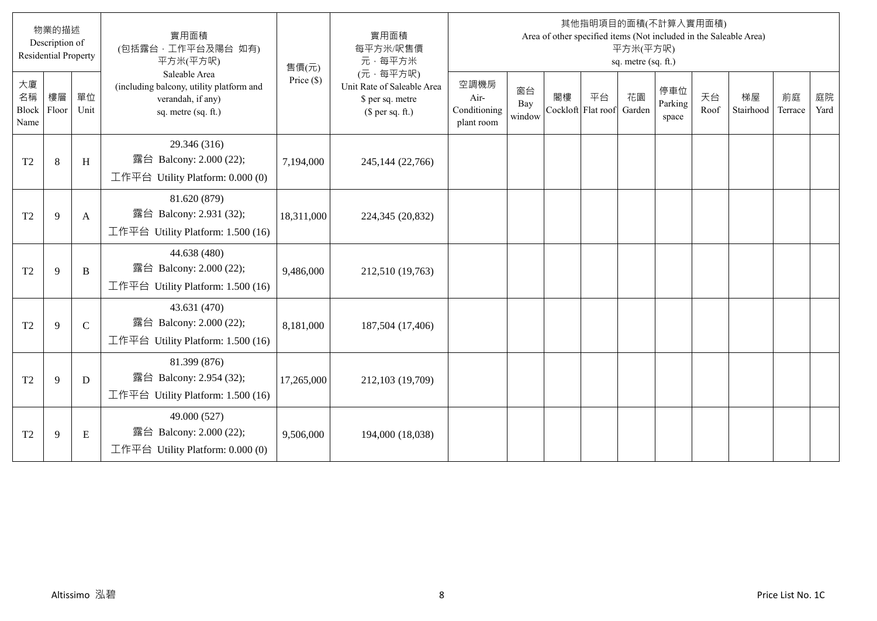|                           | 物業的描述<br>Description of<br><b>Residential Property</b> |              | 實用面積<br>(包括露台,工作平台及陽台 如有)<br>平方米(平方呎)                                                                 | 售價(元)        | 實用面積<br>每平方米/呎售價<br>元·每平方米                                                     |                                            |                     |                          |    | 平方米(平方呎)<br>sq. metre (sq. ft.) | 其他指明項目的面積(不計算入實用面積)     |            | Area of other specified items (Not included in the Saleable Area) |               |            |
|---------------------------|--------------------------------------------------------|--------------|-------------------------------------------------------------------------------------------------------|--------------|--------------------------------------------------------------------------------|--------------------------------------------|---------------------|--------------------------|----|---------------------------------|-------------------------|------------|-------------------------------------------------------------------|---------------|------------|
| 大廈<br>名稱<br>Block<br>Name | 樓層<br>Floor                                            | 單位<br>Unit   | Saleable Area<br>(including balcony, utility platform and<br>verandah, if any)<br>sq. metre (sq. ft.) | Price $(\$)$ | (元·每平方呎)<br>Unit Rate of Saleable Area<br>\$ per sq. metre<br>(\$ per sq. ft.) | 空調機房<br>Air-<br>Conditioning<br>plant room | 窗台<br>Bay<br>window | 閣樓<br>Cockloft Flat roof | 平台 | 花園<br>Garden                    | 停車位<br>Parking<br>space | 天台<br>Roof | 梯屋<br>Stairhood                                                   | 前庭<br>Terrace | 庭院<br>Yard |
| T <sub>2</sub>            | 8                                                      | H            | 29.346 (316)<br>露台 Balcony: 2.000 (22);<br>工作平台 Utility Platform: $0.000(0)$                          | 7,194,000    | 245,144 (22,766)                                                               |                                            |                     |                          |    |                                 |                         |            |                                                                   |               |            |
| T <sub>2</sub>            | 9                                                      | A            | 81.620 (879)<br>露台 Balcony: 2.931 (32);<br>工作平台 Utility Platform: 1.500 (16)                          | 18,311,000   | 224,345 (20,832)                                                               |                                            |                     |                          |    |                                 |                         |            |                                                                   |               |            |
| T <sub>2</sub>            | 9                                                      | B            | 44.638 (480)<br>露台 Balcony: 2.000 (22);<br>工作平台 Utility Platform: $1.500(16)$                         | 9,486,000    | 212,510 (19,763)                                                               |                                            |                     |                          |    |                                 |                         |            |                                                                   |               |            |
| T <sub>2</sub>            | 9                                                      | $\mathsf{C}$ | 43.631 (470)<br>露台 Balcony: 2.000 (22);<br>工作平台 Utility Platform: $1.500(16)$                         | 8,181,000    | 187,504 (17,406)                                                               |                                            |                     |                          |    |                                 |                         |            |                                                                   |               |            |
| T <sub>2</sub>            | 9                                                      | D            | 81.399 (876)<br>露台 Balcony: 2.954 (32);<br>工作平台 Utility Platform: 1.500 (16)                          | 17,265,000   | 212,103 (19,709)                                                               |                                            |                     |                          |    |                                 |                         |            |                                                                   |               |            |
| T <sub>2</sub>            | 9                                                      | E            | 49.000 (527)<br>露台 Balcony: 2.000 (22);<br>工作平台 Utility Platform: $0.000(0)$                          | 9,506,000    | 194,000 (18,038)                                                               |                                            |                     |                          |    |                                 |                         |            |                                                                   |               |            |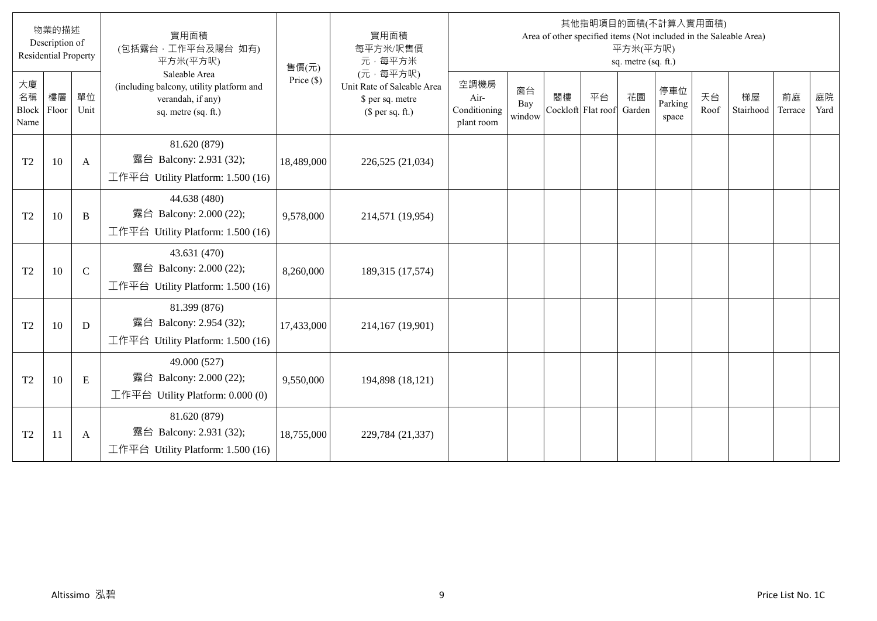|                                  | 物業的描述<br>Description of<br><b>Residential Property</b> |               | 實用面積<br>(包括露台,工作平台及陽台 如有)<br>平方米(平方呎)                                                                 | 售價(元)        | 實用面積<br>每平方米/呎售價<br>元·每平方米                                                     |                                            |                     |                          |    | 平方米(平方呎)<br>sq. metre (sq. ft.) | 其他指明項目的面積(不計算入實用面積)     |            | Area of other specified items (Not included in the Saleable Area) |               |            |
|----------------------------------|--------------------------------------------------------|---------------|-------------------------------------------------------------------------------------------------------|--------------|--------------------------------------------------------------------------------|--------------------------------------------|---------------------|--------------------------|----|---------------------------------|-------------------------|------------|-------------------------------------------------------------------|---------------|------------|
| 大廈<br>名稱<br><b>Block</b><br>Name | 樓層<br>Floor                                            | 單位<br>Unit    | Saleable Area<br>(including balcony, utility platform and<br>verandah, if any)<br>sq. metre (sq. ft.) | Price $(\$)$ | (元·每平方呎)<br>Unit Rate of Saleable Area<br>\$ per sq. metre<br>(\$ per sq. ft.) | 空調機房<br>Air-<br>Conditioning<br>plant room | 窗台<br>Bay<br>window | 閣樓<br>Cockloft Flat roof | 平台 | 花園<br>Garden                    | 停車位<br>Parking<br>space | 天台<br>Roof | 梯屋<br>Stairhood                                                   | 前庭<br>Terrace | 庭院<br>Yard |
| T <sub>2</sub>                   | 10                                                     | A             | 81.620 (879)<br>露台 Balcony: 2.931 (32);<br>工作平台 Utility Platform: 1.500 (16)                          | 18,489,000   | 226,525 (21,034)                                                               |                                            |                     |                          |    |                                 |                         |            |                                                                   |               |            |
| T <sub>2</sub>                   | 10                                                     | B             | 44.638 (480)<br>露台 Balcony: 2.000 (22);<br>工作平台 Utility Platform: 1.500 (16)                          | 9,578,000    | 214,571 (19,954)                                                               |                                            |                     |                          |    |                                 |                         |            |                                                                   |               |            |
| T <sub>2</sub>                   | 10                                                     | $\mathcal{C}$ | 43.631 (470)<br>露台 Balcony: 2.000 (22);<br>工作平台 Utility Platform: 1.500 (16)                          | 8,260,000    | 189,315 (17,574)                                                               |                                            |                     |                          |    |                                 |                         |            |                                                                   |               |            |
| T <sub>2</sub>                   | 10                                                     | D             | 81.399 (876)<br>露台 Balcony: 2.954 (32);<br>工作平台 Utility Platform: 1.500 (16)                          | 17,433,000   | 214,167 (19,901)                                                               |                                            |                     |                          |    |                                 |                         |            |                                                                   |               |            |
| T <sub>2</sub>                   | 10                                                     | E             | 49.000 (527)<br>露台 Balcony: 2.000 (22);<br>工作平台 Utility Platform: 0.000 (0)                           | 9,550,000    | 194,898 (18,121)                                                               |                                            |                     |                          |    |                                 |                         |            |                                                                   |               |            |
| T <sub>2</sub>                   | 11                                                     | A             | 81.620 (879)<br>露台 Balcony: 2.931 (32);<br>工作平台 Utility Platform: 1.500 (16)                          | 18,755,000   | 229,784 (21,337)                                                               |                                            |                     |                          |    |                                 |                         |            |                                                                   |               |            |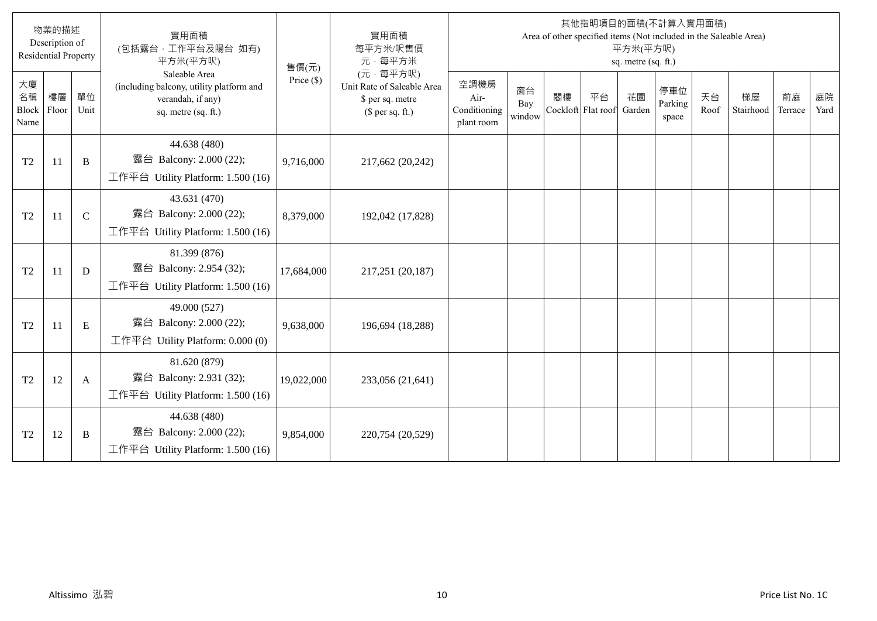|                                  | 物業的描述<br>Description of<br><b>Residential Property</b> |             | 實用面積<br>(包括露台,工作平台及陽台 如有)<br>平方米(平方呎)                                                                 | 售價(元)        | 實用面積<br>每平方米/呎售價<br>元·每平方米                                                     |                                            |                     |                          |    | 平方米(平方呎)<br>sq. metre (sq. ft.) | 其他指明項目的面積(不計算入實用面積)     |            | Area of other specified items (Not included in the Saleable Area) |               |            |
|----------------------------------|--------------------------------------------------------|-------------|-------------------------------------------------------------------------------------------------------|--------------|--------------------------------------------------------------------------------|--------------------------------------------|---------------------|--------------------------|----|---------------------------------|-------------------------|------------|-------------------------------------------------------------------|---------------|------------|
| 大廈<br>名稱<br><b>Block</b><br>Name | 樓層<br>Floor                                            | 單位<br>Unit  | Saleable Area<br>(including balcony, utility platform and<br>verandah, if any)<br>sq. metre (sq. ft.) | Price $(\$)$ | (元·每平方呎)<br>Unit Rate of Saleable Area<br>\$ per sq. metre<br>(\$ per sq. ft.) | 空調機房<br>Air-<br>Conditioning<br>plant room | 窗台<br>Bay<br>window | 閣樓<br>Cockloft Flat roof | 平台 | 花園<br>Garden                    | 停車位<br>Parking<br>space | 天台<br>Roof | 梯屋<br>Stairhood                                                   | 前庭<br>Terrace | 庭院<br>Yard |
| T <sub>2</sub>                   | 11                                                     | B           | 44.638 (480)<br>露台 Balcony: 2.000 (22);<br>工作平台 Utility Platform: 1.500 (16)                          | 9,716,000    | 217,662 (20,242)                                                               |                                            |                     |                          |    |                                 |                         |            |                                                                   |               |            |
| T <sub>2</sub>                   | <sup>11</sup>                                          | $\mathbf C$ | 43.631 (470)<br>露台 Balcony: 2.000 (22);<br>工作平台 Utility Platform: 1.500 (16)                          | 8,379,000    | 192,042 (17,828)                                                               |                                            |                     |                          |    |                                 |                         |            |                                                                   |               |            |
| T <sub>2</sub>                   | 11                                                     | D           | 81.399 (876)<br>露台 Balcony: 2.954 (32);<br>工作平台 Utility Platform: 1.500 (16)                          | 17,684,000   | 217,251 (20,187)                                                               |                                            |                     |                          |    |                                 |                         |            |                                                                   |               |            |
| T <sub>2</sub>                   | 11                                                     | E           | 49.000 (527)<br>露台 Balcony: 2.000 (22);<br>工作平台 Utility Platform: 0.000 (0)                           | 9,638,000    | 196,694 (18,288)                                                               |                                            |                     |                          |    |                                 |                         |            |                                                                   |               |            |
| T <sub>2</sub>                   | 12                                                     | A           | 81.620 (879)<br>露台 Balcony: 2.931 (32);<br>工作平台 Utility Platform: 1.500 (16)                          | 19,022,000   | 233,056 (21,641)                                                               |                                            |                     |                          |    |                                 |                         |            |                                                                   |               |            |
| T <sub>2</sub>                   | 12                                                     | B           | 44.638 (480)<br>露台 Balcony: 2.000 (22);<br>工作平台 Utility Platform: $1.500(16)$                         | 9,854,000    | 220,754 (20,529)                                                               |                                            |                     |                          |    |                                 |                         |            |                                                                   |               |            |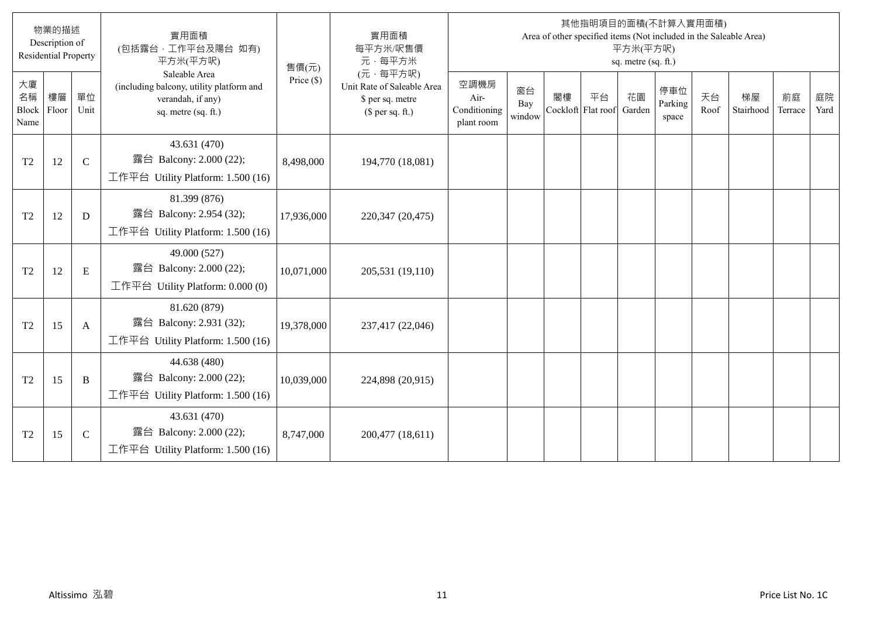|                                  | 物業的描述<br>Description of<br><b>Residential Property</b> |             | 實用面積<br>(包括露台,工作平台及陽台 如有)<br>平方米(平方呎)                                                                 | 售價(元)        | 實用面積<br>每平方米/呎售價<br>元·每平方米                                                     |                                            |                     |                          |    | 平方米(平方呎)<br>sq. metre (sq. ft.) | 其他指明項目的面積(不計算入實用面積)     |            | Area of other specified items (Not included in the Saleable Area) |               |            |
|----------------------------------|--------------------------------------------------------|-------------|-------------------------------------------------------------------------------------------------------|--------------|--------------------------------------------------------------------------------|--------------------------------------------|---------------------|--------------------------|----|---------------------------------|-------------------------|------------|-------------------------------------------------------------------|---------------|------------|
| 大廈<br>名稱<br><b>Block</b><br>Name | 樓層<br>Floor                                            | 單位<br>Unit  | Saleable Area<br>(including balcony, utility platform and<br>verandah, if any)<br>sq. metre (sq. ft.) | Price $(\$)$ | (元·每平方呎)<br>Unit Rate of Saleable Area<br>\$ per sq. metre<br>(\$ per sq. ft.) | 空調機房<br>Air-<br>Conditioning<br>plant room | 窗台<br>Bay<br>window | 閣樓<br>Cockloft Flat roof | 平台 | 花園<br>Garden                    | 停車位<br>Parking<br>space | 天台<br>Roof | 梯屋<br>Stairhood                                                   | 前庭<br>Terrace | 庭院<br>Yard |
| T <sub>2</sub>                   | 12                                                     | $\mathbf C$ | 43.631 (470)<br>露台 Balcony: 2.000 (22);<br>工作平台 Utility Platform: 1.500 (16)                          | 8,498,000    | 194,770 (18,081)                                                               |                                            |                     |                          |    |                                 |                         |            |                                                                   |               |            |
| T <sub>2</sub>                   | 12                                                     | D           | 81.399 (876)<br>露台 Balcony: 2.954 (32);<br>工作平台 Utility Platform: 1.500 (16)                          | 17,936,000   | 220,347 (20,475)                                                               |                                            |                     |                          |    |                                 |                         |            |                                                                   |               |            |
| T <sub>2</sub>                   | 12                                                     | E           | 49.000 (527)<br>露台 Balcony: 2.000 (22);<br>工作平台 Utility Platform: $0.000(0)$                          | 10,071,000   | 205,531 (19,110)                                                               |                                            |                     |                          |    |                                 |                         |            |                                                                   |               |            |
| T <sub>2</sub>                   | 15                                                     | A           | 81.620 (879)<br>露台 Balcony: 2.931 (32);<br>工作平台 Utility Platform: $1.500(16)$                         | 19,378,000   | 237,417 (22,046)                                                               |                                            |                     |                          |    |                                 |                         |            |                                                                   |               |            |
| T <sub>2</sub>                   | 15                                                     | B           | 44.638 (480)<br>露台 Balcony: 2.000 (22);<br>工作平台 Utility Platform: $1.500(16)$                         | 10,039,000   | 224,898 (20,915)                                                               |                                            |                     |                          |    |                                 |                         |            |                                                                   |               |            |
| T <sub>2</sub>                   | 15                                                     | $\mathbf C$ | 43.631 (470)<br>露台 Balcony: 2.000 (22);<br>工作平台 Utility Platform: $1.500(16)$                         | 8,747,000    | 200,477 (18,611)                                                               |                                            |                     |                          |    |                                 |                         |            |                                                                   |               |            |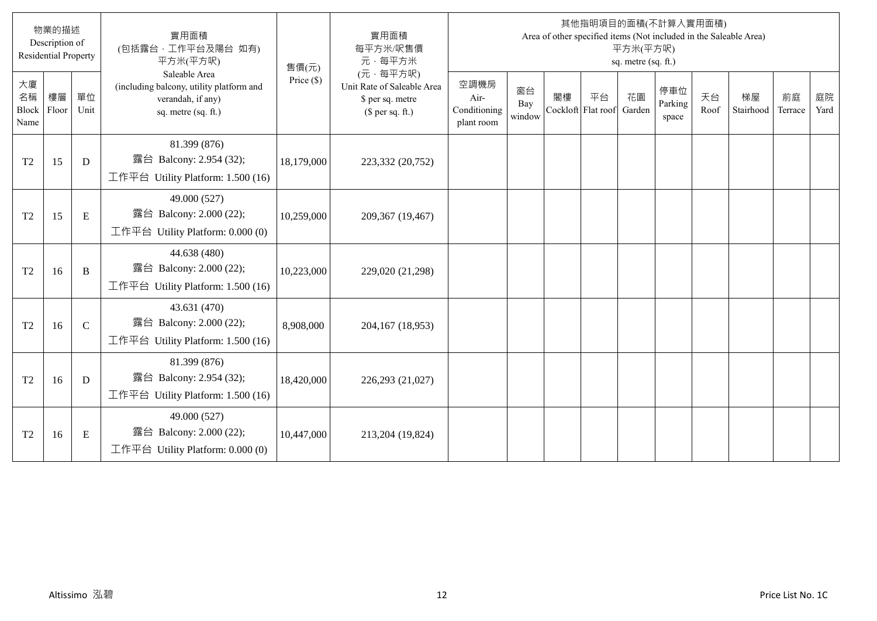|                                  | 物業的描述<br>Description of<br><b>Residential Property</b> |              | 實用面積<br>(包括露台,工作平台及陽台 如有)<br>平方米(平方呎)                                                                 | 售價(元)        | 實用面積<br>每平方米/呎售價<br>元·每平方米                                                     |                                            |                     |                          |    | 平方米(平方呎)<br>sq. metre (sq. ft.) | 其他指明項目的面積(不計算入實用面積)     |            | Area of other specified items (Not included in the Saleable Area) |               |            |
|----------------------------------|--------------------------------------------------------|--------------|-------------------------------------------------------------------------------------------------------|--------------|--------------------------------------------------------------------------------|--------------------------------------------|---------------------|--------------------------|----|---------------------------------|-------------------------|------------|-------------------------------------------------------------------|---------------|------------|
| 大廈<br>名稱<br><b>Block</b><br>Name | 樓層<br>Floor                                            | 單位<br>Unit   | Saleable Area<br>(including balcony, utility platform and<br>verandah, if any)<br>sq. metre (sq. ft.) | Price $(\$)$ | (元·每平方呎)<br>Unit Rate of Saleable Area<br>\$ per sq. metre<br>(\$ per sq. ft.) | 空調機房<br>Air-<br>Conditioning<br>plant room | 窗台<br>Bay<br>window | 閣樓<br>Cockloft Flat roof | 平台 | 花園<br>Garden                    | 停車位<br>Parking<br>space | 天台<br>Roof | 梯屋<br>Stairhood                                                   | 前庭<br>Terrace | 庭院<br>Yard |
| T <sub>2</sub>                   | 15                                                     | D            | 81.399 (876)<br>露台 Balcony: 2.954 (32);<br>工作平台 Utility Platform: 1.500 (16)                          | 18,179,000   | 223,332 (20,752)                                                               |                                            |                     |                          |    |                                 |                         |            |                                                                   |               |            |
| T <sub>2</sub>                   | 15                                                     | E            | 49.000 (527)<br>露台 Balcony: 2.000 (22);<br>工作平台 Utility Platform: 0.000 (0)                           | 10,259,000   | 209,367 (19,467)                                                               |                                            |                     |                          |    |                                 |                         |            |                                                                   |               |            |
| T <sub>2</sub>                   | 16                                                     | B            | 44.638 (480)<br>露台 Balcony: 2.000 (22);<br>工作平台 Utility Platform: 1.500 (16)                          | 10,223,000   | 229,020 (21,298)                                                               |                                            |                     |                          |    |                                 |                         |            |                                                                   |               |            |
| T <sub>2</sub>                   | 16                                                     | $\mathsf{C}$ | 43.631 (470)<br>露台 Balcony: 2.000 (22);<br>工作平台 Utility Platform: $1.500(16)$                         | 8,908,000    | 204,167 (18,953)                                                               |                                            |                     |                          |    |                                 |                         |            |                                                                   |               |            |
| T <sub>2</sub>                   | 16                                                     | D            | 81.399 (876)<br>露台 Balcony: 2.954 (32);<br>工作平台 Utility Platform: 1.500 (16)                          | 18,420,000   | 226,293 (21,027)                                                               |                                            |                     |                          |    |                                 |                         |            |                                                                   |               |            |
| T <sub>2</sub>                   | 16                                                     | E            | 49.000 (527)<br>露台 Balcony: 2.000 (22);<br>工作平台 Utility Platform: 0.000 (0)                           | 10,447,000   | 213,204 (19,824)                                                               |                                            |                     |                          |    |                                 |                         |            |                                                                   |               |            |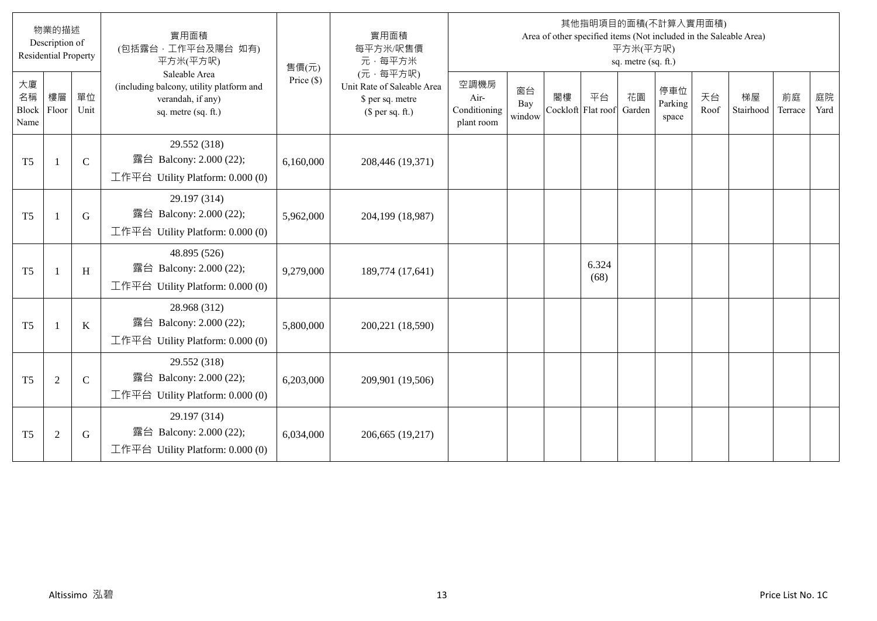|                           | 物業的描述<br>Description of<br><b>Residential Property</b> |              | 實用面積<br>(包括露台,工作平台及陽台 如有)<br>平方米(平方呎)                                                                 | 售價(元)        | 實用面積<br>每平方米/呎售價<br>元·每平方米                                                     |                                            |                     |    |                          | 平方米(平方呎)<br>sq. metre (sq. ft.) | 其他指明項目的面積(不計算入實用面積)     |            | Area of other specified items (Not included in the Saleable Area) |               |            |
|---------------------------|--------------------------------------------------------|--------------|-------------------------------------------------------------------------------------------------------|--------------|--------------------------------------------------------------------------------|--------------------------------------------|---------------------|----|--------------------------|---------------------------------|-------------------------|------------|-------------------------------------------------------------------|---------------|------------|
| 大廈<br>名稱<br>Block<br>Name | 樓層<br>Floor                                            | 單位<br>Unit   | Saleable Area<br>(including balcony, utility platform and<br>verandah, if any)<br>sq. metre (sq. ft.) | Price $(\$)$ | (元·每平方呎)<br>Unit Rate of Saleable Area<br>\$ per sq. metre<br>$$$ per sq. ft.) | 空調機房<br>Air-<br>Conditioning<br>plant room | 窗台<br>Bay<br>window | 閣樓 | 平台<br>Cockloft Flat roof | 花園<br>Garden                    | 停車位<br>Parking<br>space | 天台<br>Roof | 梯屋<br>Stairhood                                                   | 前庭<br>Terrace | 庭院<br>Yard |
| T <sub>5</sub>            | -1                                                     | $\mathbf C$  | 29.552 (318)<br>露台 Balcony: 2.000 (22);<br>工作平台 Utility Platform: 0.000 (0)                           | 6,160,000    | 208,446 (19,371)                                                               |                                            |                     |    |                          |                                 |                         |            |                                                                   |               |            |
| T <sub>5</sub>            | $\mathbf{1}$                                           | G            | 29.197 (314)<br>露台 Balcony: 2.000 (22);<br>工作平台 Utility Platform: 0.000 (0)                           | 5,962,000    | 204,199 (18,987)                                                               |                                            |                     |    |                          |                                 |                         |            |                                                                   |               |            |
| T <sub>5</sub>            | -1                                                     | H            | 48.895 (526)<br>露台 Balcony: 2.000 (22);<br>工作平台 Utility Platform: $0.000(0)$                          | 9,279,000    | 189,774 (17,641)                                                               |                                            |                     |    | 6.324<br>(68)            |                                 |                         |            |                                                                   |               |            |
| T <sub>5</sub>            | $\mathbf{1}$                                           | $\bf K$      | 28.968 (312)<br>露台 Balcony: 2.000 (22);<br>工作平台 Utility Platform: $0.000(0)$                          | 5,800,000    | 200,221 (18,590)                                                               |                                            |                     |    |                          |                                 |                         |            |                                                                   |               |            |
| T <sub>5</sub>            | $\overline{2}$                                         | $\mathsf{C}$ | 29.552 (318)<br>露台 Balcony: 2.000 (22);<br>工作平台 Utility Platform: $0.000(0)$                          | 6,203,000    | 209,901 (19,506)                                                               |                                            |                     |    |                          |                                 |                         |            |                                                                   |               |            |
| T <sub>5</sub>            | $\overline{2}$                                         | G            | 29.197 (314)<br>露台 Balcony: 2.000 (22);<br>工作平台 Utility Platform: 0.000 (0)                           | 6,034,000    | 206,665 (19,217)                                                               |                                            |                     |    |                          |                                 |                         |            |                                                                   |               |            |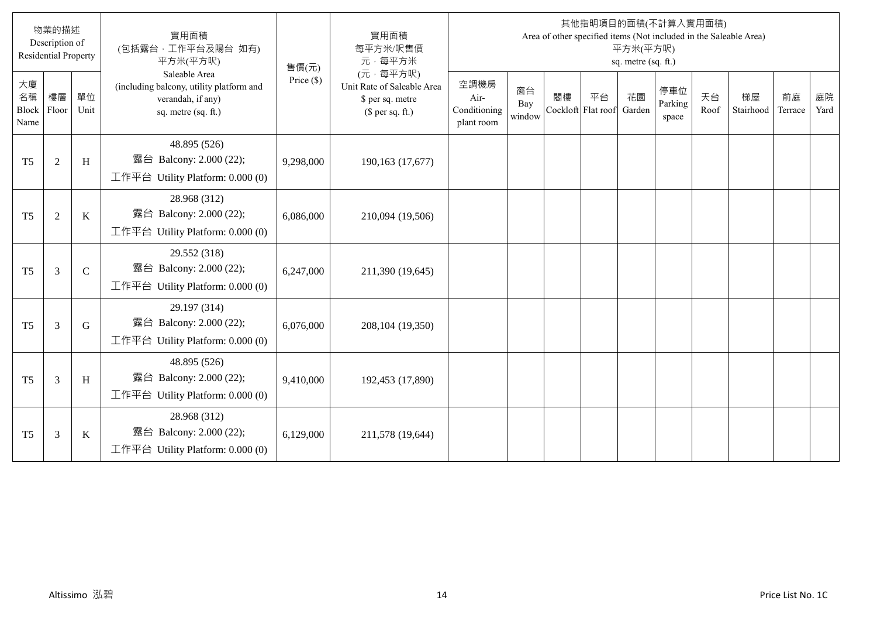|                           | 物業的描述<br>Description of<br><b>Residential Property</b> |             | 實用面積<br>(包括露台·工作平台及陽台 如有)<br>平方米(平方呎)                                                                 | 售價(元)        | 實用面積<br>每平方米/呎售價<br>元·每平方米                                                     |                                            |                     |    |                          | 平方米(平方呎)<br>sq. metre (sq. ft.) | 其他指明項目的面積(不計算入實用面積)     |            | Area of other specified items (Not included in the Saleable Area) |               |            |
|---------------------------|--------------------------------------------------------|-------------|-------------------------------------------------------------------------------------------------------|--------------|--------------------------------------------------------------------------------|--------------------------------------------|---------------------|----|--------------------------|---------------------------------|-------------------------|------------|-------------------------------------------------------------------|---------------|------------|
| 大廈<br>名稱<br>Block<br>Name | 樓層<br>Floor                                            | 單位<br>Unit  | Saleable Area<br>(including balcony, utility platform and<br>verandah, if any)<br>sq. metre (sq. ft.) | Price $(\$)$ | (元·每平方呎)<br>Unit Rate of Saleable Area<br>\$ per sq. metre<br>$$$ per sq. ft.) | 空調機房<br>Air-<br>Conditioning<br>plant room | 窗台<br>Bay<br>window | 閣樓 | 平台<br>Cockloft Flat roof | 花園<br>Garden                    | 停車位<br>Parking<br>space | 天台<br>Roof | 梯屋<br>Stairhood                                                   | 前庭<br>Terrace | 庭院<br>Yard |
| T <sub>5</sub>            | $\overline{2}$                                         | H           | 48.895 (526)<br>露台 Balcony: 2.000 (22);<br>工作平台 Utility Platform: 0.000 (0)                           | 9,298,000    | 190,163 (17,677)                                                               |                                            |                     |    |                          |                                 |                         |            |                                                                   |               |            |
| T <sub>5</sub>            | $\overline{2}$                                         | $\bf K$     | 28.968 (312)<br>露台 Balcony: 2.000 (22);<br>工作平台 Utility Platform: 0.000 (0)                           | 6,086,000    | 210,094 (19,506)                                                               |                                            |                     |    |                          |                                 |                         |            |                                                                   |               |            |
| T <sub>5</sub>            | 3                                                      | $\mathbf C$ | 29.552 (318)<br>露台 Balcony: 2.000 (22);<br>工作平台 Utility Platform: 0.000 (0)                           | 6,247,000    | 211,390 (19,645)                                                               |                                            |                     |    |                          |                                 |                         |            |                                                                   |               |            |
| T <sub>5</sub>            | 3                                                      | G           | 29.197 (314)<br>露台 Balcony: 2.000 (22);<br>工作平台 Utility Platform: 0.000 (0)                           | 6,076,000    | 208,104 (19,350)                                                               |                                            |                     |    |                          |                                 |                         |            |                                                                   |               |            |
| T <sub>5</sub>            | 3                                                      | H           | 48.895 (526)<br>露台 Balcony: 2.000 (22);<br>工作平台 Utility Platform: 0.000 (0)                           | 9,410,000    | 192,453 (17,890)                                                               |                                            |                     |    |                          |                                 |                         |            |                                                                   |               |            |
| T <sub>5</sub>            | 3                                                      | $\bf K$     | 28.968 (312)<br>露台 Balcony: 2.000 (22);<br>工作平台 Utility Platform: 0.000 (0)                           | 6,129,000    | 211,578 (19,644)                                                               |                                            |                     |    |                          |                                 |                         |            |                                                                   |               |            |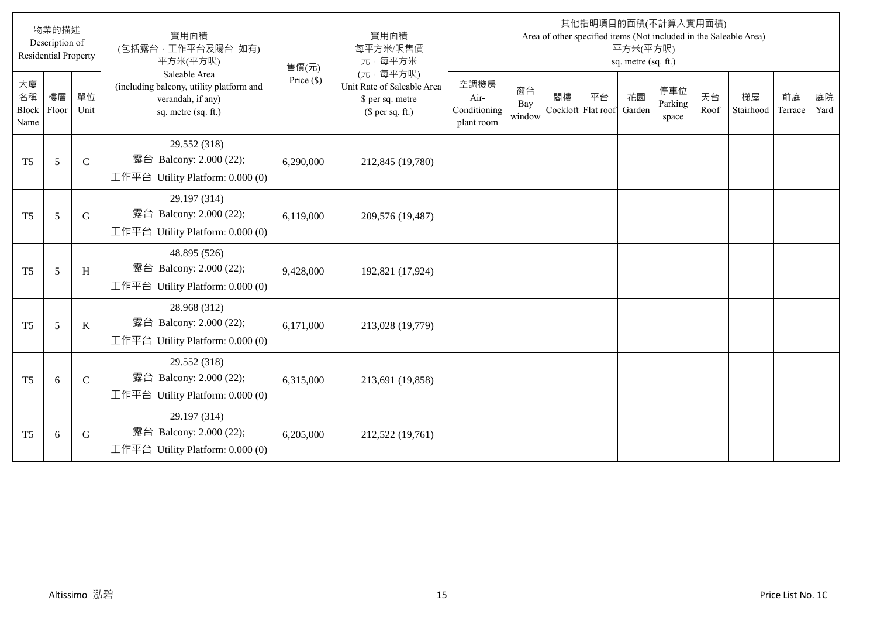|                           | 物業的描述<br>Description of<br><b>Residential Property</b> |             | 實用面積<br>(包括露台,工作平台及陽台 如有)<br>平方米(平方呎)                                                                 | 售價(元)        | 實用面積<br>每平方米/呎售價<br>元·每平方米                                                     |                                            |                     |                          |    | 平方米(平方呎)<br>sq. metre (sq. ft.) | 其他指明項目的面積(不計算入實用面積)     |            | Area of other specified items (Not included in the Saleable Area) |               |            |
|---------------------------|--------------------------------------------------------|-------------|-------------------------------------------------------------------------------------------------------|--------------|--------------------------------------------------------------------------------|--------------------------------------------|---------------------|--------------------------|----|---------------------------------|-------------------------|------------|-------------------------------------------------------------------|---------------|------------|
| 大廈<br>名稱<br>Block<br>Name | 樓層<br>Floor                                            | 單位<br>Unit  | Saleable Area<br>(including balcony, utility platform and<br>verandah, if any)<br>sq. metre (sq. ft.) | Price $(\$)$ | (元·每平方呎)<br>Unit Rate of Saleable Area<br>\$ per sq. metre<br>(\$ per sq. ft.) | 空調機房<br>Air-<br>Conditioning<br>plant room | 窗台<br>Bay<br>window | 閣樓<br>Cockloft Flat roof | 平台 | 花園<br>Garden                    | 停車位<br>Parking<br>space | 天台<br>Roof | 梯屋<br>Stairhood                                                   | 前庭<br>Terrace | 庭院<br>Yard |
| T <sub>5</sub>            | 5                                                      | $\mathbf C$ | 29.552 (318)<br>露台 Balcony: 2.000 (22);<br>工作平台 Utility Platform: 0.000 (0)                           | 6,290,000    | 212,845 (19,780)                                                               |                                            |                     |                          |    |                                 |                         |            |                                                                   |               |            |
| T <sub>5</sub>            | 5                                                      | G           | 29.197 (314)<br>露台 Balcony: 2.000 (22);<br>工作平台 Utility Platform: 0.000 (0)                           | 6,119,000    | 209,576 (19,487)                                                               |                                            |                     |                          |    |                                 |                         |            |                                                                   |               |            |
| T <sub>5</sub>            | 5                                                      | H           | 48.895 (526)<br>露台 Balcony: 2.000 (22);<br>工作平台 Utility Platform: $0.000(0)$                          | 9,428,000    | 192,821 (17,924)                                                               |                                            |                     |                          |    |                                 |                         |            |                                                                   |               |            |
| T <sub>5</sub>            | 5                                                      | K           | 28.968 (312)<br>露台 Balcony: 2.000 (22);<br>工作平台 Utility Platform: $0.000(0)$                          | 6,171,000    | 213,028 (19,779)                                                               |                                            |                     |                          |    |                                 |                         |            |                                                                   |               |            |
| T <sub>5</sub>            | 6                                                      | $\mathbf C$ | 29.552 (318)<br>露台 Balcony: 2.000 (22);<br>工作平台 Utility Platform: $0.000(0)$                          | 6,315,000    | 213,691 (19,858)                                                               |                                            |                     |                          |    |                                 |                         |            |                                                                   |               |            |
| T <sub>5</sub>            | 6                                                      | G           | 29.197 (314)<br>露台 Balcony: 2.000 (22);<br>工作平台 Utility Platform: $0.000(0)$                          | 6,205,000    | 212,522 (19,761)                                                               |                                            |                     |                          |    |                                 |                         |            |                                                                   |               |            |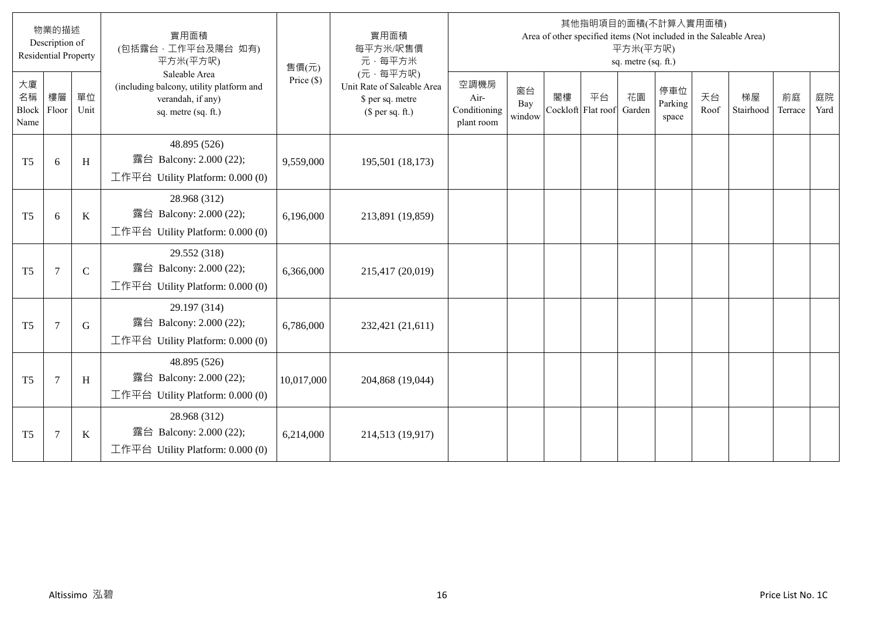|                           | 物業的描述<br>Description of<br><b>Residential Property</b> |              | 實用面積<br>(包括露台·工作平台及陽台 如有)<br>平方米(平方呎)                                                                 | 售價(元)        | 實用面積<br>每平方米/呎售價<br>元·每平方米                                                     |                                            |                     |    |                          | 平方米(平方呎)<br>sq. metre (sq. ft.) | 其他指明項目的面積(不計算入實用面積)     |            | Area of other specified items (Not included in the Saleable Area) |               |            |
|---------------------------|--------------------------------------------------------|--------------|-------------------------------------------------------------------------------------------------------|--------------|--------------------------------------------------------------------------------|--------------------------------------------|---------------------|----|--------------------------|---------------------------------|-------------------------|------------|-------------------------------------------------------------------|---------------|------------|
| 大廈<br>名稱<br>Block<br>Name | 樓層<br>Floor                                            | 單位<br>Unit   | Saleable Area<br>(including balcony, utility platform and<br>verandah, if any)<br>sq. metre (sq. ft.) | Price $(\$)$ | (元·每平方呎)<br>Unit Rate of Saleable Area<br>\$ per sq. metre<br>$$$ per sq. ft.) | 空調機房<br>Air-<br>Conditioning<br>plant room | 窗台<br>Bay<br>window | 閣樓 | 平台<br>Cockloft Flat roof | 花園<br>Garden                    | 停車位<br>Parking<br>space | 天台<br>Roof | 梯屋<br>Stairhood                                                   | 前庭<br>Terrace | 庭院<br>Yard |
| T <sub>5</sub>            | 6                                                      | H            | 48.895 (526)<br>露台 Balcony: 2.000 (22);<br>工作平台 Utility Platform: 0.000 (0)                           | 9,559,000    | 195,501 (18,173)                                                               |                                            |                     |    |                          |                                 |                         |            |                                                                   |               |            |
| T <sub>5</sub>            | 6                                                      | $\bf K$      | 28.968 (312)<br>露台 Balcony: 2.000 (22);<br>工作平台 Utility Platform: 0.000 (0)                           | 6,196,000    | 213,891 (19,859)                                                               |                                            |                     |    |                          |                                 |                         |            |                                                                   |               |            |
| T <sub>5</sub>            | $\tau$                                                 | $\mathsf{C}$ | 29.552 (318)<br>露台 Balcony: 2.000 (22);<br>工作平台 Utility Platform: $0.000(0)$                          | 6,366,000    | 215,417 (20,019)                                                               |                                            |                     |    |                          |                                 |                         |            |                                                                   |               |            |
| T <sub>5</sub>            | $\overline{7}$                                         | G            | 29.197 (314)<br>露台 Balcony: 2.000 (22);<br>工作平台 Utility Platform: 0.000 (0)                           | 6,786,000    | 232,421 (21,611)                                                               |                                            |                     |    |                          |                                 |                         |            |                                                                   |               |            |
| T <sub>5</sub>            | $\tau$                                                 | H            | 48.895 (526)<br>露台 Balcony: 2.000 (22);<br>工作平台 Utility Platform: 0.000 (0)                           | 10,017,000   | 204,868 (19,044)                                                               |                                            |                     |    |                          |                                 |                         |            |                                                                   |               |            |
| T <sub>5</sub>            | $\overline{7}$                                         | $\bf K$      | 28.968 (312)<br>露台 Balcony: 2.000 (22);<br>工作平台 Utility Platform: 0.000 (0)                           | 6,214,000    | 214,513 (19,917)                                                               |                                            |                     |    |                          |                                 |                         |            |                                                                   |               |            |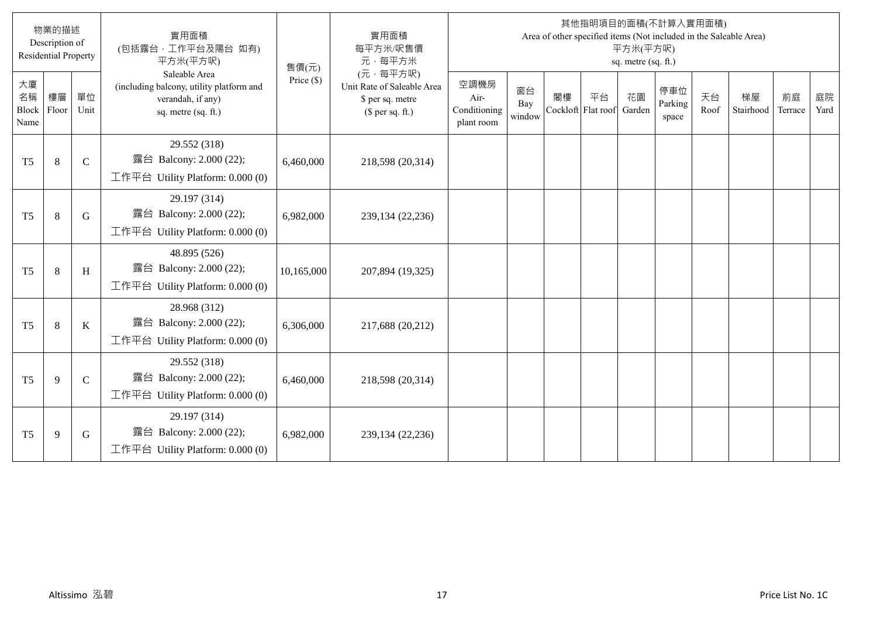|                           | 物業的描述<br>Description of<br><b>Residential Property</b> |             | 實用面積<br>(包括露台,工作平台及陽台 如有)<br>平方米(平方呎)                                                                 | 售價(元)        | 實用面積<br>每平方米/呎售價<br>元·每平方米                                                     |                                            |                     |                          |    | 平方米(平方呎)<br>sq. metre (sq. ft.) | 其他指明項目的面積(不計算入實用面積)     |            | Area of other specified items (Not included in the Saleable Area) |               |            |
|---------------------------|--------------------------------------------------------|-------------|-------------------------------------------------------------------------------------------------------|--------------|--------------------------------------------------------------------------------|--------------------------------------------|---------------------|--------------------------|----|---------------------------------|-------------------------|------------|-------------------------------------------------------------------|---------------|------------|
| 大廈<br>名稱<br>Block<br>Name | 樓層<br>Floor                                            | 單位<br>Unit  | Saleable Area<br>(including balcony, utility platform and<br>verandah, if any)<br>sq. metre (sq. ft.) | Price $(\$)$ | (元·每平方呎)<br>Unit Rate of Saleable Area<br>\$ per sq. metre<br>(\$ per sq. ft.) | 空調機房<br>Air-<br>Conditioning<br>plant room | 窗台<br>Bay<br>window | 閣樓<br>Cockloft Flat roof | 平台 | 花園<br>Garden                    | 停車位<br>Parking<br>space | 天台<br>Roof | 梯屋<br>Stairhood                                                   | 前庭<br>Terrace | 庭院<br>Yard |
| T <sub>5</sub>            | 8                                                      | $\mathbf C$ | 29.552 (318)<br>露台 Balcony: 2.000 (22);<br>工作平台 Utility Platform: 0.000 (0)                           | 6,460,000    | 218,598 (20,314)                                                               |                                            |                     |                          |    |                                 |                         |            |                                                                   |               |            |
| T <sub>5</sub>            | $\,8\,$                                                | $\mathbf G$ | 29.197 (314)<br>露台 Balcony: 2.000 (22);<br>工作平台 Utility Platform: 0.000 (0)                           | 6,982,000    | 239,134 (22,236)                                                               |                                            |                     |                          |    |                                 |                         |            |                                                                   |               |            |
| T <sub>5</sub>            | 8                                                      | H           | 48.895 (526)<br>露台 Balcony: 2.000 (22);<br>工作平台 Utility Platform: $0.000(0)$                          | 10,165,000   | 207,894 (19,325)                                                               |                                            |                     |                          |    |                                 |                         |            |                                                                   |               |            |
| T <sub>5</sub>            | 8                                                      | K           | 28.968 (312)<br>露台 Balcony: 2.000 (22);<br>工作平台 Utility Platform: $0.000(0)$                          | 6,306,000    | 217,688 (20,212)                                                               |                                            |                     |                          |    |                                 |                         |            |                                                                   |               |            |
| T <sub>5</sub>            | 9                                                      | $\mathbf C$ | 29.552 (318)<br>露台 Balcony: 2.000 (22);<br>工作平台 Utility Platform: $0.000(0)$                          | 6,460,000    | 218,598 (20,314)                                                               |                                            |                     |                          |    |                                 |                         |            |                                                                   |               |            |
| T <sub>5</sub>            | 9                                                      | G           | 29.197 (314)<br>露台 Balcony: 2.000 (22);<br>工作平台 Utility Platform: $0.000(0)$                          | 6,982,000    | 239,134 (22,236)                                                               |                                            |                     |                          |    |                                 |                         |            |                                                                   |               |            |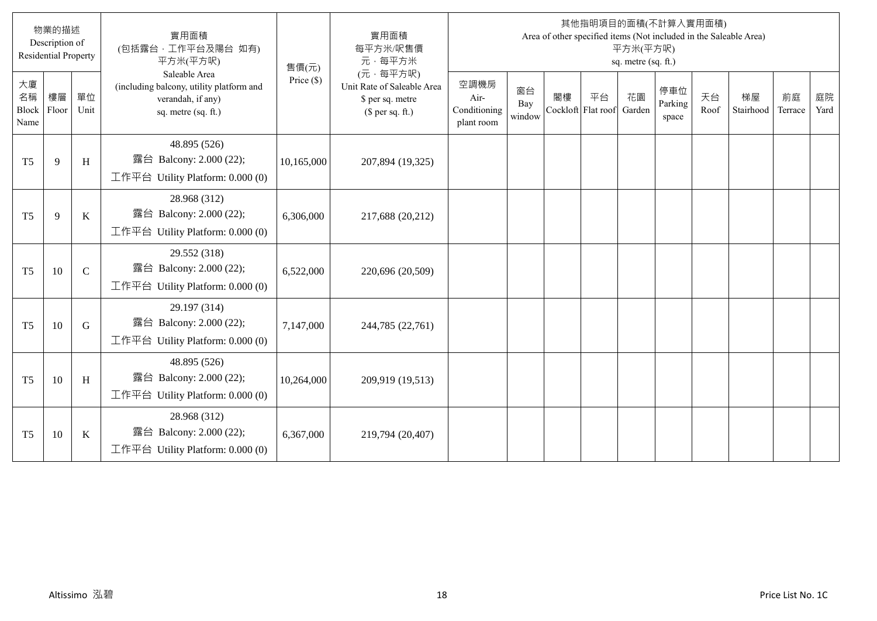|                           | 物業的描述<br>Description of<br><b>Residential Property</b> |             | 實用面積<br>(包括露台·工作平台及陽台 如有)<br>平方米(平方呎)                                                                 | 售價(元)        | 實用面積<br>每平方米/呎售價<br>元·每平方米                                                     |                                            |                     |    |                          | 平方米(平方呎)<br>sq. metre (sq. ft.) | 其他指明項目的面積(不計算入實用面積)     |            | Area of other specified items (Not included in the Saleable Area) |               |            |
|---------------------------|--------------------------------------------------------|-------------|-------------------------------------------------------------------------------------------------------|--------------|--------------------------------------------------------------------------------|--------------------------------------------|---------------------|----|--------------------------|---------------------------------|-------------------------|------------|-------------------------------------------------------------------|---------------|------------|
| 大廈<br>名稱<br>Block<br>Name | 樓層<br>Floor                                            | 單位<br>Unit  | Saleable Area<br>(including balcony, utility platform and<br>verandah, if any)<br>sq. metre (sq. ft.) | Price $(\$)$ | (元·每平方呎)<br>Unit Rate of Saleable Area<br>\$ per sq. metre<br>$$$ per sq. ft.) | 空調機房<br>Air-<br>Conditioning<br>plant room | 窗台<br>Bay<br>window | 閣樓 | 平台<br>Cockloft Flat roof | 花園<br>Garden                    | 停車位<br>Parking<br>space | 天台<br>Roof | 梯屋<br>Stairhood                                                   | 前庭<br>Terrace | 庭院<br>Yard |
| T <sub>5</sub>            | $\mathbf{Q}$                                           | H           | 48.895 (526)<br>露台 Balcony: 2.000 (22);<br>工作平台 Utility Platform: 0.000 (0)                           | 10,165,000   | 207,894 (19,325)                                                               |                                            |                     |    |                          |                                 |                         |            |                                                                   |               |            |
| T <sub>5</sub>            | 9                                                      | $\bf K$     | 28.968 (312)<br>露台 Balcony: 2.000 (22);<br>工作平台 Utility Platform: 0.000 (0)                           | 6,306,000    | 217,688 (20,212)                                                               |                                            |                     |    |                          |                                 |                         |            |                                                                   |               |            |
| T <sub>5</sub>            | 10                                                     | $\mathbf C$ | 29.552 (318)<br>露台 Balcony: 2.000 (22);<br>工作平台 Utility Platform: $0.000(0)$                          | 6,522,000    | 220,696 (20,509)                                                               |                                            |                     |    |                          |                                 |                         |            |                                                                   |               |            |
| T <sub>5</sub>            | 10                                                     | $\mathbf G$ | 29.197 (314)<br>露台 Balcony: 2.000 (22);<br>工作平台 Utility Platform: 0.000 (0)                           | 7,147,000    | 244,785 (22,761)                                                               |                                            |                     |    |                          |                                 |                         |            |                                                                   |               |            |
| T <sub>5</sub>            | 10                                                     | H           | 48.895 (526)<br>露台 Balcony: 2.000 (22);<br>工作平台 Utility Platform: 0.000 (0)                           | 10,264,000   | 209,919 (19,513)                                                               |                                            |                     |    |                          |                                 |                         |            |                                                                   |               |            |
| T <sub>5</sub>            | 10                                                     | $\bf K$     | 28.968 (312)<br>露台 Balcony: 2.000 (22);<br>工作平台 Utility Platform: 0.000 (0)                           | 6,367,000    | 219,794 (20,407)                                                               |                                            |                     |    |                          |                                 |                         |            |                                                                   |               |            |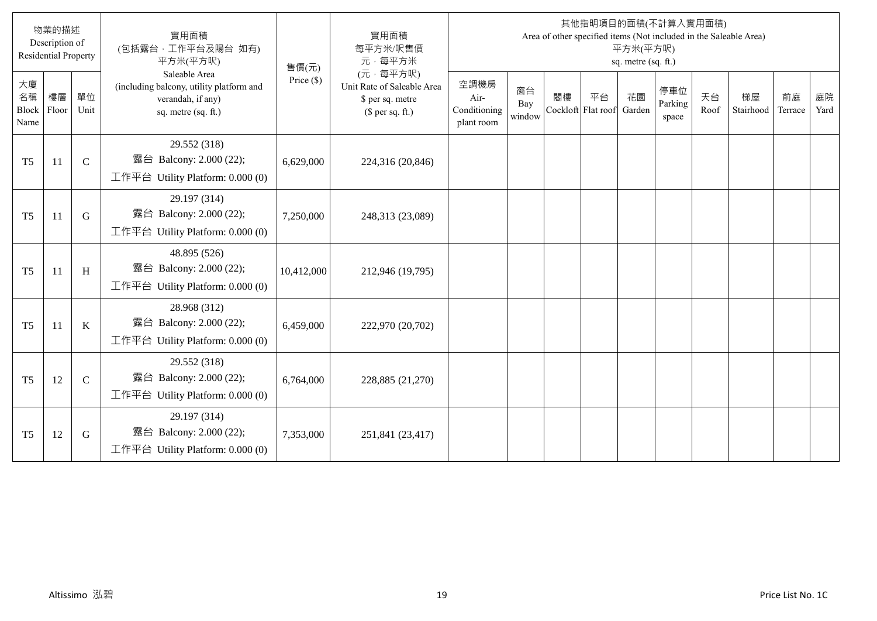|                           | 物業的描述<br>Description of<br><b>Residential Property</b> |              | 實用面積<br>(包括露台·工作平台及陽台 如有)<br>平方米(平方呎)                                                                 | 售價(元)        | 實用面積<br>每平方米/呎售價<br>元·每平方米                                                     |                                            |                     |    |                          | 平方米(平方呎)<br>sq. metre (sq. ft.) | 其他指明項目的面積(不計算入實用面積)     |            | Area of other specified items (Not included in the Saleable Area) |               |            |
|---------------------------|--------------------------------------------------------|--------------|-------------------------------------------------------------------------------------------------------|--------------|--------------------------------------------------------------------------------|--------------------------------------------|---------------------|----|--------------------------|---------------------------------|-------------------------|------------|-------------------------------------------------------------------|---------------|------------|
| 大廈<br>名稱<br>Block<br>Name | 樓層<br>Floor                                            | 單位<br>Unit   | Saleable Area<br>(including balcony, utility platform and<br>verandah, if any)<br>sq. metre (sq. ft.) | Price $(\$)$ | (元·每平方呎)<br>Unit Rate of Saleable Area<br>\$ per sq. metre<br>$$$ per sq. ft.) | 空調機房<br>Air-<br>Conditioning<br>plant room | 窗台<br>Bay<br>window | 閣樓 | 平台<br>Cockloft Flat roof | 花園<br>Garden                    | 停車位<br>Parking<br>space | 天台<br>Roof | 梯屋<br>Stairhood                                                   | 前庭<br>Terrace | 庭院<br>Yard |
| T <sub>5</sub>            | 11                                                     | $\mathbf C$  | 29.552 (318)<br>露台 Balcony: 2.000 (22);<br>工作平台 Utility Platform: 0.000 (0)                           | 6,629,000    | 224,316 (20,846)                                                               |                                            |                     |    |                          |                                 |                         |            |                                                                   |               |            |
| T <sub>5</sub>            | 11                                                     | G            | 29.197 (314)<br>露台 Balcony: 2.000 (22);<br>工作平台 Utility Platform: 0.000 (0)                           | 7,250,000    | 248,313 (23,089)                                                               |                                            |                     |    |                          |                                 |                         |            |                                                                   |               |            |
| T <sub>5</sub>            | <sup>11</sup>                                          | H            | 48.895 (526)<br>露台 Balcony: 2.000 (22);<br>工作平台 Utility Platform: $0.000(0)$                          | 10,412,000   | 212,946 (19,795)                                                               |                                            |                     |    |                          |                                 |                         |            |                                                                   |               |            |
| T <sub>5</sub>            | 11                                                     | $\bf K$      | 28.968 (312)<br>露台 Balcony: 2.000 (22);<br>工作平台 Utility Platform: $0.000(0)$                          | 6,459,000    | 222,970 (20,702)                                                               |                                            |                     |    |                          |                                 |                         |            |                                                                   |               |            |
| T <sub>5</sub>            | 12                                                     | $\mathsf{C}$ | 29.552 (318)<br>露台 Balcony: 2.000 (22);<br>工作平台 Utility Platform: 0.000 (0)                           | 6,764,000    | 228,885 (21,270)                                                               |                                            |                     |    |                          |                                 |                         |            |                                                                   |               |            |
| T <sub>5</sub>            | 12                                                     | G            | 29.197 (314)<br>露台 Balcony: 2.000 (22);<br>工作平台 Utility Platform: 0.000 (0)                           | 7,353,000    | 251,841 (23,417)                                                               |                                            |                     |    |                          |                                 |                         |            |                                                                   |               |            |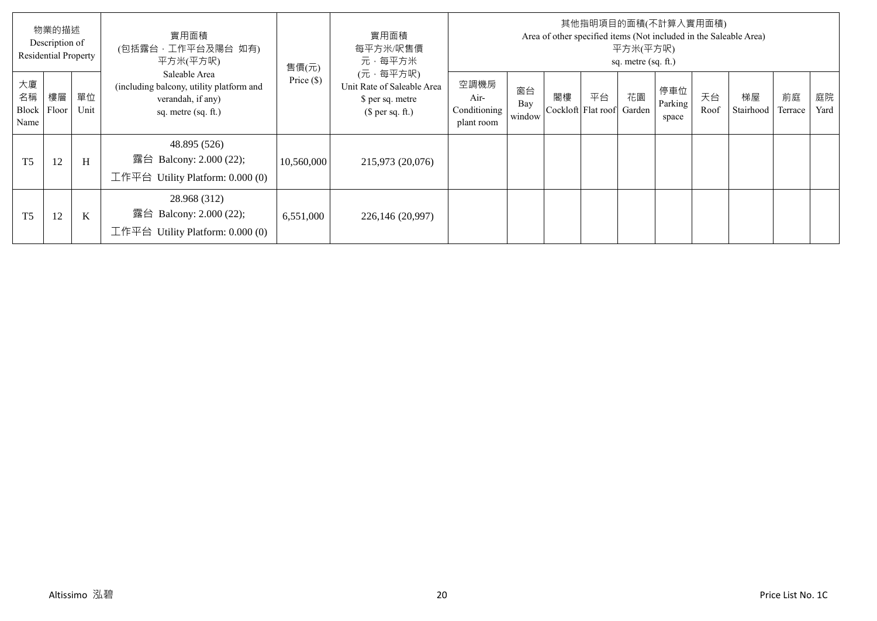|                           | 物業的描述<br>Description of<br><b>Residential Property</b> |            | 實用面積<br>(包括露台,工作平台及陽台 如有)<br>平方米(平方呎)                                                                 | 售價(元)        | 實用面積<br>每平方米/呎售價<br>元·每平方米                                                     |                                            |                     |                          |    | 平方米(平方呎)<br>sq. metre (sq. ft.) | 其他指明項目的面積(不計算入實用面積)     |            | Area of other specified items (Not included in the Saleable Area) |               |            |
|---------------------------|--------------------------------------------------------|------------|-------------------------------------------------------------------------------------------------------|--------------|--------------------------------------------------------------------------------|--------------------------------------------|---------------------|--------------------------|----|---------------------------------|-------------------------|------------|-------------------------------------------------------------------|---------------|------------|
| 大廈<br>名稱<br>Block<br>Name | 樓層<br>Floor                                            | 單位<br>Unit | Saleable Area<br>(including balcony, utility platform and<br>verandah, if any)<br>sq. metre (sq. ft.) | Price $(\$)$ | (元·每平方呎)<br>Unit Rate of Saleable Area<br>\$ per sq. metre<br>(\$ per sq. ft.) | 空調機房<br>Air-<br>Conditioning<br>plant room | 窗台<br>Bay<br>window | 閣樓<br>Cockloft Flat roof | 平台 | 花園<br>Garden                    | 停車位<br>Parking<br>space | 天台<br>Roof | 梯屋<br>Stairhood                                                   | 前庭<br>Terrace | 庭院<br>Yard |
| T <sub>5</sub>            | 12                                                     | H          | 48.895 (526)<br>露台 Balcony: 2.000 (22);<br>工作平台 Utility Platform: $0.000(0)$                          | 10,560,000   | 215,973 (20,076)                                                               |                                            |                     |                          |    |                                 |                         |            |                                                                   |               |            |
| T <sub>5</sub>            | 12                                                     | K          | 28.968 (312)<br>露台 Balcony: 2.000 (22);<br>工作平台<br>Utility Platform: 0.000 (0)                        | 6,551,000    | 226,146 (20,997)                                                               |                                            |                     |                          |    |                                 |                         |            |                                                                   |               |            |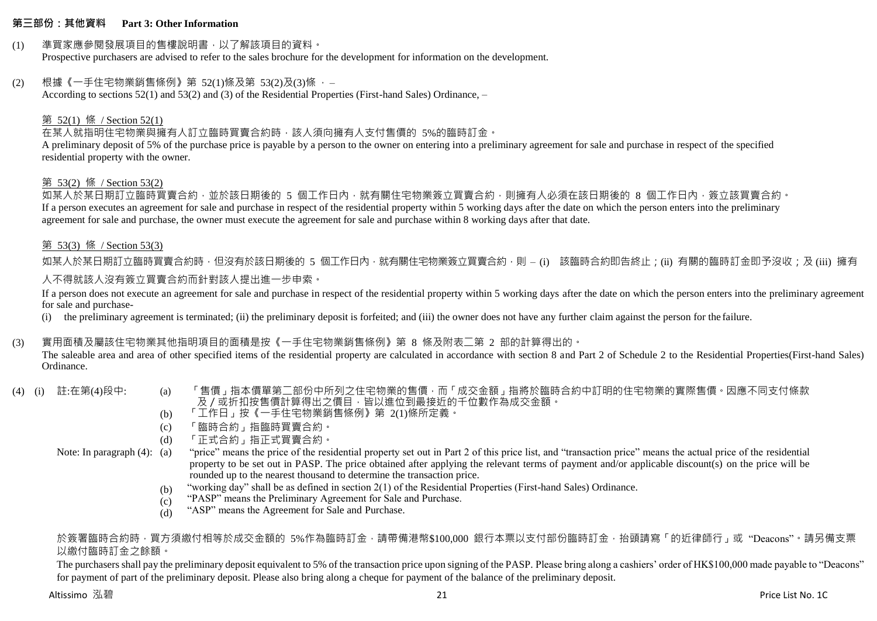#### **第三部份:其他資料 Part 3: Other Information**

#### (1) 準買家應參閱發展項目的售樓說明書,以了解該項目的資料。

Prospective purchasers are advised to refer to the sales brochure for the development for information on the development.

### (2) 根據《一手住宅物業銷售條例》第 52(1)條及第 53(2)及(3)條 ,–

According to sections 52(1) and 53(2) and (3) of the Residential Properties (First-hand Sales) Ordinance, –

### 第 52(1) 條 / Section 52(1)

在某人就指明住宅物業與擁有人訂立臨時買賣合約時,該人須向擁有人支付售價的 5%的臨時訂金。

A preliminary deposit of 5% of the purchase price is payable by a person to the owner on entering into a preliminary agreement for sale and purchase in respect of the specified residential property with the owner.

#### 第 53(2) 條 / Section 53(2)

如某人於某日期訂立臨時買賣合約,並於該日期後的 5 個工作日內,就有關住宅物業簽立買賣合約,則擁有人必須在該日期後的 8 個工作日內,簽立該買賣合約。 If a person executes an agreement for sale and purchase in respect of the residential property within 5 working days after the date on which the person enters into the preliminary agreement for sale and purchase, the owner must execute the agreement for sale and purchase within 8 working days after that date.

### 第 53(3) 條 / Section 53(3)

如某人於某日期訂立臨時買賣合約時,但沒有於該日期後的 5 個工作日內,就有關住宅物業簽立買賣合約,則 – (i) 該臨時合約即告終止;(ii) 有關的臨時訂金即予沒收;及 (iii) 擁有 人不得就該人沒有簽立買賣合約而針對該人提出進一步申索。

If a person does not execute an agreement for sale and purchase in respect of the residential property within 5 working days after the date on which the person enters into the preliminary agreement for sale and purchase-

(i) the preliminary agreement is terminated; (ii) the preliminary deposit is forfeited; and (iii) the owner does not have any further claim against the person for the failure.

# (3) 實用面積及屬該住宅物業其他指明項目的面積是按《一手住宅物業銷售條例》第 8 條及附表二第 2 部的計算得出的。

The saleable area and area of other specified items of the residential property are calculated in accordance with section 8 and Part 2 of Schedule 2 to the Residential Properties(First-hand Sales) Ordinance.

- 
- (4) (i) 註:在第(4)段中: (a) 「售價」指本價單第二部份中所列之住宅物業的售價,而「成交金額」指將於臨時合約中訂明的住宅物業的實際售價。因應不同支付條款 及/或折扣按售價計算得出之價目,皆以進位到最接近的千位數作為成交金額。
	- (b) 「工作日」按《一手住宅物業銷售條例》第 2(1)條所定義。
	- (c) 「臨時合約」指臨時買賣合約。
	- (d) 「正式合約」指正式買賣合約。

Note: In paragraph (4): (a)

- "price" means the price of the residential property set out in Part 2 of this price list, and "transaction price" means the actual price of the residential property to be set out in PASP. The price obtained after applying the relevant terms of payment and/or applicable discount(s) on the price will be rounded up to the nearest thousand to determine the transaction price.
- (b) "working day" shall be as defined in section 2(1) of the Residential Properties (First-hand Sales) Ordinance.
- $(c)$ "PASP" means the Preliminary Agreement for Sale and Purchase.
- (d) "ASP" means the Agreement for Sale and Purchase.

### 於簽署臨時合約時,買方須繳付相等於成交金額的 5%作為臨時訂金,請帶備港幣\$100,000 銀行本票以支付部份臨時訂金,抬頭請寫「的折律師行」或"Deacons"。請另備支票 以繳付臨時訂金之餘額。

The purchasers shall pay the preliminary deposit equivalent to 5% of the transaction price upon signing of the PASP. Please bring along a cashiers' order of HK\$100,000 made payable to "Deacons" for payment of part of the preliminary deposit. Please also bring along a cheque for payment of the balance of the preliminary deposit.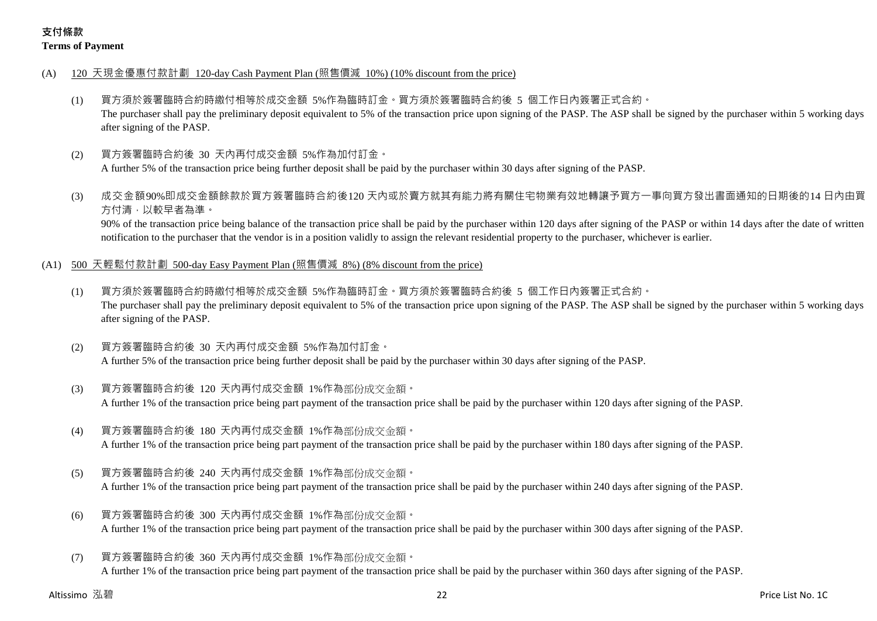# **支付條款 Terms of Payment**

- (A) 120 天現金優惠付款計劃 120-day Cash Payment Plan (照售價減 10%) (10% discount from the price)
	- (1) 買方須於簽署臨時合約時繳付相等於成交金額 5%作為臨時訂金。買方須於簽署臨時合約後 5 個工作日內簽署正式合約。 The purchaser shall pay the preliminary deposit equivalent to 5% of the transaction price upon signing of the PASP. The ASP shall be signed by the purchaser within 5 working days after signing of the PASP.
	- (2) 買方簽署臨時合約後 30 天內再付成交金額 5%作為加付訂金。

A further 5% of the transaction price being further deposit shall be paid by the purchaser within 30 days after signing of the PASP.

(3) 成交金額90%即成交金額餘款於買方簽署臨時合約後120 天內或於賣方就其有能力將有關住宅物業有效地轉讓予買方一事向買方發出書面通知的日期後的14 日內由買 方付清,以較早者為準。

90% of the transaction price being balance of the transaction price shall be paid by the purchaser within 120 days after signing of the PASP or within 14 days after the date of written notification to the purchaser that the vendor is in a position validly to assign the relevant residential property to the purchaser, whichever is earlier.

- (A1) 500 天輕鬆付款計劃 500-day Easy Payment Plan (照售價減 8%) (8% discount from the price)
	- (1) 買方須於簽署臨時合約時繳付相等於成交金額 5%作為臨時訂金。買方須於簽署臨時合約後 5 個工作日內簽署正式合約。 The purchaser shall pay the preliminary deposit equivalent to 5% of the transaction price upon signing of the PASP. The ASP shall be signed by the purchaser within 5 working days after signing of the PASP.
	- (2) 買方簽署臨時合約後 30 天內再付成交金額 5%作為加付訂金。 A further 5% of the transaction price being further deposit shall be paid by the purchaser within 30 days after signing of the PASP.
	- (3) 買方簽署臨時合約後 120 天內再付成交金額 1%作為部份成交金額。

A further 1% of the transaction price being part payment of the transaction price shall be paid by the purchaser within 120 days after signing of the PASP.

(4) 買方簽署臨時合約後 180 天內再付成交金額 1%作為部份成交金額。

A further 1% of the transaction price being part payment of the transaction price shall be paid by the purchaser within 180 days after signing of the PASP.

(5) 買方簽署臨時合約後 240 天內再付成交金額 1%作為部份成交金額。

A further 1% of the transaction price being part payment of the transaction price shall be paid by the purchaser within 240 days after signing of the PASP.

- (6) 買方簽署臨時合約後 300 天內再付成交金額 1%作為部份成交金額。 A further 1% of the transaction price being part payment of the transaction price shall be paid by the purchaser within 300 days after signing of the PASP.
- (7) 買方簽署臨時合約後 360 天內再付成交金額 1%作為部份成交金額。 A further 1% of the transaction price being part payment of the transaction price shall be paid by the purchaser within 360 days after signing of the PASP.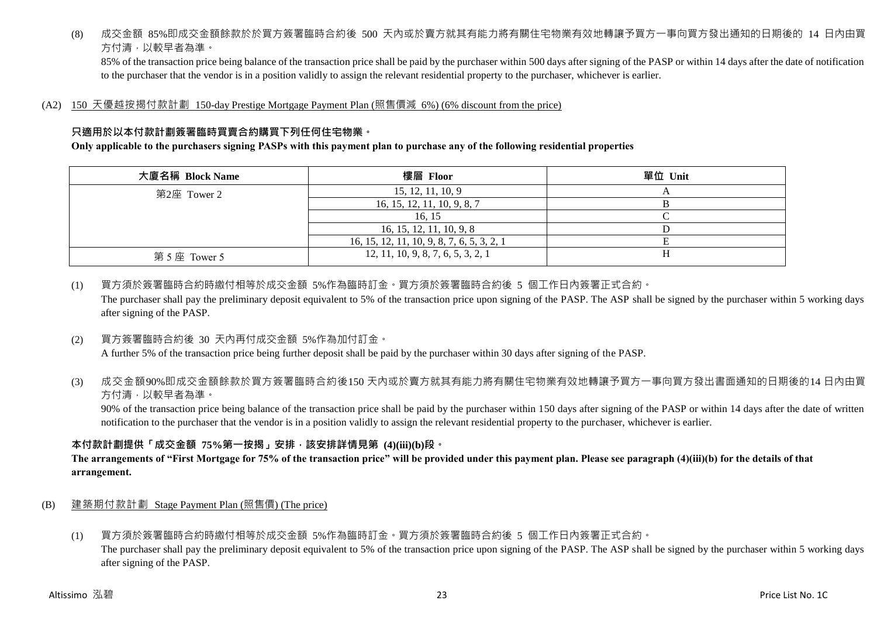(8) 成交金額 85%即成交金額餘款於於買方簽署臨時合約後 500 天內或於賣方就其有能力將有關住宅物業有效地轉讓予買方一事向買方發出通知的日期後的 14 日內由買 方付清,以較早者為準。

85% of the transaction price being balance of the transaction price shall be paid by the purchaser within 500 days after signing of the PASP or within 14 days after the date of notification to the purchaser that the vendor is in a position validly to assign the relevant residential property to the purchaser, whichever is earlier.

(A2) 150 天優越按揭付款計劃 150-day Prestige Mortgage Payment Plan (照售價減 6%) (6% discount from the price)

# **只適用於以本付款計劃簽署臨時買賣合約購買下列任何住宅物業。**

#### **Only applicable to the purchasers signing PASPs with this payment plan to purchase any of the following residential properties**

| 大廈名稱 Block Name | 樓層 Floor                                   | 單位 Unit |
|-----------------|--------------------------------------------|---------|
| 第2座 Tower 2     | 15, 12, 11, 10, 9                          |         |
|                 | 16, 15, 12, 11, 10, 9, 8, 7                |         |
|                 | 16.15                                      |         |
|                 | 16, 15, 12, 11, 10, 9, 8                   |         |
|                 | 16, 15, 12, 11, 10, 9, 8, 7, 6, 5, 3, 2, 1 |         |
| 第5座 Tower 5     | 12, 11, 10, 9, 8, 7, 6, 5, 3, 2, 1         |         |

(1) 買方須於簽署臨時合約時繳付相等於成交金額 5%作為臨時訂金。買方須於簽署臨時合約後 5 個工作日內簽署正式合約。 The purchaser shall pay the preliminary deposit equivalent to 5% of the transaction price upon signing of the PASP. The ASP shall be signed by the purchaser within 5 working days after signing of the PASP.

(2) 買方簽署臨時合約後 30 天內再付成交金額 5%作為加付訂金。

A further 5% of the transaction price being further deposit shall be paid by the purchaser within 30 days after signing of the PASP.

(3) 成交金額90%即成交金額餘款於買方簽署臨時合約後150 天內或於賣方就其有能力將有關住宅物業有效地轉讓予買方一事向買方發出書面通知的日期後的14 日內由買 方付清,以較早者為準。

90% of the transaction price being balance of the transaction price shall be paid by the purchaser within 150 days after signing of the PASP or within 14 days after the date of written notification to the purchaser that the vendor is in a position validly to assign the relevant residential property to the purchaser, whichever is earlier.

# **本付款計劃提供「成交金額 75%第一按揭」安排,該安排詳情見第 (4)(iii)(b)段。**

**The arrangements of "First Mortgage for 75% of the transaction price" will be provided under this payment plan. Please see paragraph (4)(iii)(b) for the details of that arrangement.**

- (B) 建築期付款計劃 Stage Payment Plan (照售價) (The price)
	- (1) 買方須於簽署臨時合約時繳付相等於成交金額 5%作為臨時訂金。買方須於簽署臨時合約後 5 個工作日內簽署正式合約。

The purchaser shall pay the preliminary deposit equivalent to 5% of the transaction price upon signing of the PASP. The ASP shall be signed by the purchaser within 5 working days after signing of the PASP.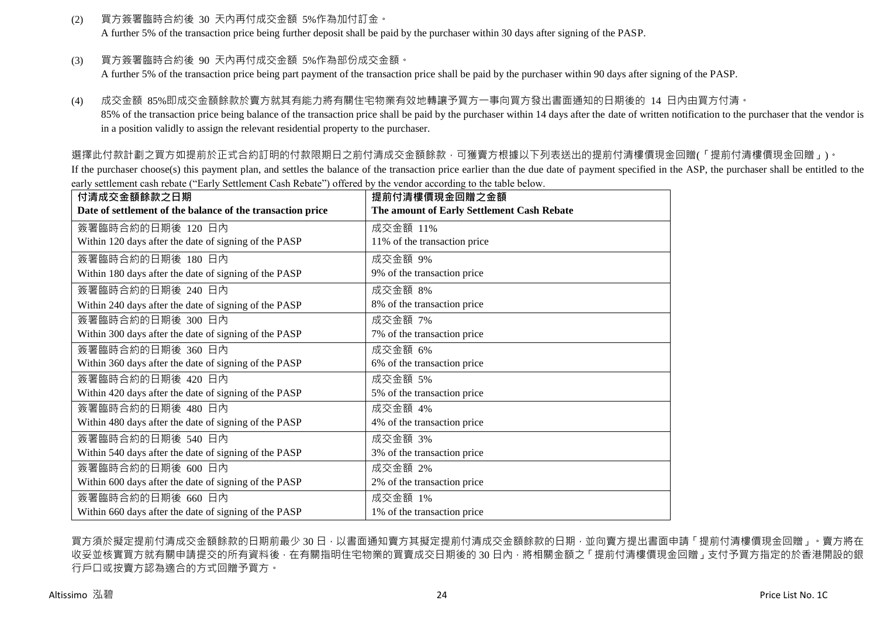(2) 買方簽署臨時合約後 30 天內再付成交金額 5%作為加付訂金。

A further 5% of the transaction price being further deposit shall be paid by the purchaser within 30 days after signing of the PASP.

(3) 買方簽署臨時合約後 90 天內再付成交金額 5%作為部份成交金額。

A further 5% of the transaction price being part payment of the transaction price shall be paid by the purchaser within 90 days after signing of the PASP.

(4) 成交金額 85%即成交金額餘款於賣方就其有能力將有關住宅物業有效地轉讓予買方一事向買方發出書面通知的日期後的 14 日內由買方付清。 85% of the transaction price being balance of the transaction price shall be paid by the purchaser within 14 days after the date of written notification to the purchaser that the vendor is

in a position validly to assign the relevant residential property to the purchaser.

選擇此付款計劃之買方如提前於正式合約訂明的付款限期日之前付清成交金額餘款,可獲賣方根據以下列表送出的提前付清樓價現金回贈(「提前付清樓價現金回贈」)。

If the purchaser choose(s) this payment plan, and settles the balance of the transaction price earlier than the due date of payment specified in the ASP, the purchaser shall be entitled to the early settlement cash rebate ("Early Settlement Cash Rebate") offered by the vendor according to the table below.

| 付清成交金額餘款之日期                                                | 提前付清樓價現金回贈之金額                              |
|------------------------------------------------------------|--------------------------------------------|
| Date of settlement of the balance of the transaction price | The amount of Early Settlement Cash Rebate |
| 簽署臨時合約的日期後 120 日內                                          | 成交金額 11%                                   |
| Within 120 days after the date of signing of the PASP      | 11% of the transaction price               |
| 簽署臨時合約的日期後 180 日內                                          | 成交金額 9%                                    |
| Within 180 days after the date of signing of the PASP      | 9% of the transaction price                |
| 簽署臨時合約的日期後 240 日內                                          | 成交金額 8%                                    |
| Within 240 days after the date of signing of the PASP      | 8% of the transaction price                |
| 簽署臨時合約的日期後 300 日內                                          | 成交金額 7%                                    |
| Within 300 days after the date of signing of the PASP      | 7% of the transaction price                |
| 簽署臨時合約的日期後 360 日內                                          | 成交金額 6%                                    |
| Within 360 days after the date of signing of the PASP      | 6% of the transaction price                |
| 簽署臨時合約的日期後 420 日內                                          | 成交金額 5%                                    |
| Within 420 days after the date of signing of the PASP      | 5% of the transaction price                |
| 簽署臨時合約的日期後 480 日內                                          | 成交金額 4%                                    |
| Within 480 days after the date of signing of the PASP      | 4% of the transaction price                |
| 簽署臨時合約的日期後 540 日內                                          | 成交金額 3%                                    |
| Within 540 days after the date of signing of the PASP      | 3% of the transaction price                |
| 簽署臨時合約的日期後 600 日內                                          | 成交金額 2%                                    |
| Within 600 days after the date of signing of the PASP      | 2% of the transaction price                |
| 簽署臨時合約的日期後 660 日內                                          | 成交金額 1%                                    |
| Within 660 days after the date of signing of the PASP      | 1% of the transaction price                |

買方須於擬定提前付清成交金額餘款的日期前最少 30 日,以書面通知賣方其擬定提前付清成交金額餘款的日期,並向賣方提出書面申請「提前付清樓價現金回贈」。賣方將在 收妥並核實買方就有關申請提交的所有資料後,在有關指明住宅物業的買賣成交日期後的 30 日內,將相關金額之「提前付清樓價現金回贈」支付予買方指定的於香港開設的銀 行戶口或按賣方認為適合的方式回贈予買方。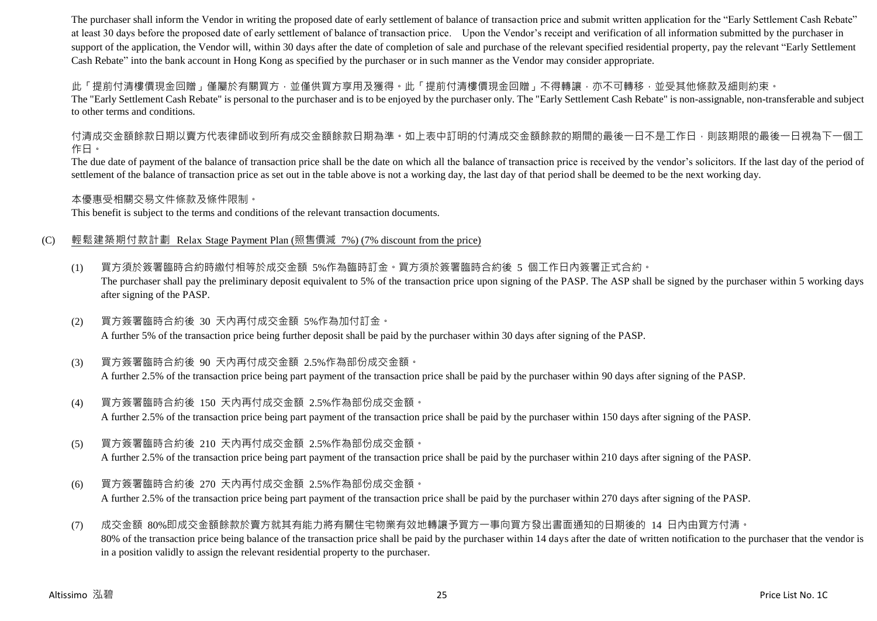The purchaser shall inform the Vendor in writing the proposed date of early settlement of balance of transaction price and submit written application for the "Early Settlement Cash Rebate" at least 30 days before the proposed date of early settlement of balance of transaction price. Upon the Vendor's receipt and verification of all information submitted by the purchaser in support of the application, the Vendor will, within 30 days after the date of completion of sale and purchase of the relevant specified residential property, pay the relevant "Early Settlement" Cash Rebate" into the bank account in Hong Kong as specified by the purchaser or in such manner as the Vendor may consider appropriate.

此「提前付清樓價現金回贈」僅屬於有關買方,並僅供買方享用及獲得。此「提前付清樓價現金回贈」不得轉讓,亦不可轉移,並受其他條款及細則約束。

The "Early Settlement Cash Rebate" is personal to the purchaser and is to be enjoyed by the purchaser only. The "Early Settlement Cash Rebate" is non-assignable, non-transferable and subject to other terms and conditions.

付清成交金額餘款日期以賣方代表律師收到所有成交金額餘款日期為準。如上表中訂明的付清成交金額餘款的期間的最後一日不是工作日,則該期限的最後一日視為下一個工 作日。

The due date of payment of the balance of transaction price shall be the date on which all the balance of transaction price is received by the vendor's solicitors. If the last day of the period of settlement of the balance of transaction price as set out in the table above is not a working day, the last day of that period shall be deemed to be the next working day.

本優惠受相關交易文件條款及條件限制。

This benefit is subject to the terms and conditions of the relevant transaction documents.

#### (C) 輕鬆建築期付款計劃 Relax Stage Payment Plan (照售價減 7%) (7% discount from the price)

- (1) 買方須於簽署臨時合約時繳付相等於成交金額 5%作為臨時訂金。買方須於簽署臨時合約後 5 個工作日內簽署正式合約。 The purchaser shall pay the preliminary deposit equivalent to 5% of the transaction price upon signing of the PASP. The ASP shall be signed by the purchaser within 5 working days after signing of the PASP.
- (2) 買方簽署臨時合約後 30 天內再付成交金額 5%作為加付訂金。 A further 5% of the transaction price being further deposit shall be paid by the purchaser within 30 days after signing of the PASP.
- (3) 買方簽署臨時合約後 90 天內再付成交金額 2.5%作為部份成交金額。 A further 2.5% of the transaction price being part payment of the transaction price shall be paid by the purchaser within 90 days after signing of the PASP.
- (4) 買方簽署臨時合約後 150 天內再付成交金額 2.5%作為部份成交金額。 A further 2.5% of the transaction price being part payment of the transaction price shall be paid by the purchaser within 150 days after signing of the PASP.
- (5) 買方簽署臨時合約後 210 天內再付成交金額 2.5%作為部份成交金額。

A further 2.5% of the transaction price being part payment of the transaction price shall be paid by the purchaser within 210 days after signing of the PASP.

(6) 買方簽署臨時合約後 270 天內再付成交金額 2.5%作為部份成交金額。 A further 2.5% of the transaction price being part payment of the transaction price shall be paid by the purchaser within 270 days after signing of the PASP.

(7) 成交金額 80%即成交金額餘款於賣方就其有能力將有關住宅物業有效地轉讓予買方一事向買方發出書面通知的日期後的 14 日內由買方付清。 80% of the transaction price being balance of the transaction price shall be paid by the purchaser within 14 days after the date of written notification to the purchaser that the vendor is in a position validly to assign the relevant residential property to the purchaser.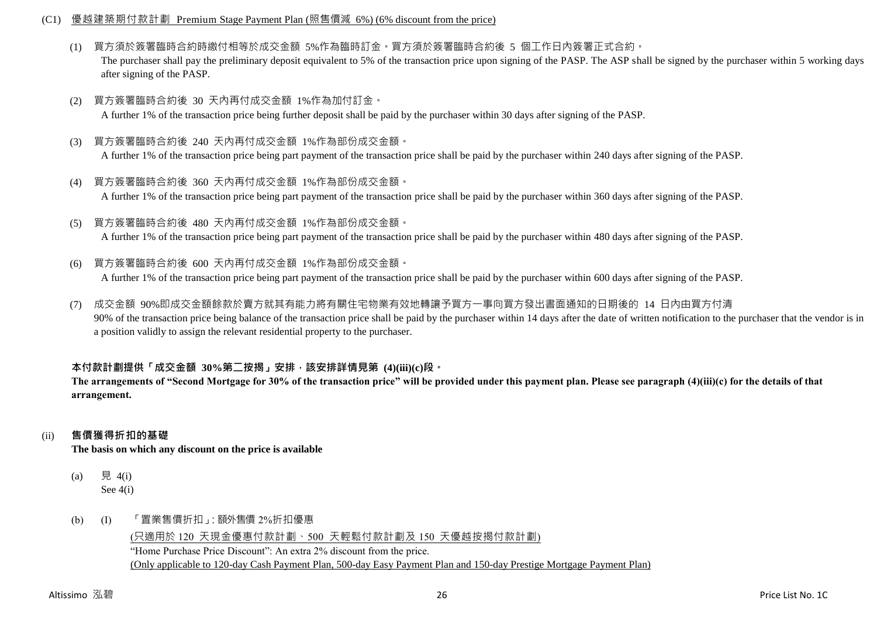#### (C1) 優越建築期付款計劃 Premium Stage Payment Plan (照售價減 6%) (6% discount from the price)

(1) 買方須於簽署臨時合約時繳付相等於成交金額 5%作為臨時訂金。買方須於簽署臨時合約後 5 個工作日內簽署正式合約。

The purchaser shall pay the preliminary deposit equivalent to 5% of the transaction price upon signing of the PASP. The ASP shall be signed by the purchaser within 5 working days after signing of the PASP.

- (2) 買方簽署臨時合約後 30 天內再付成交金額 1%作為加付訂金。 A further 1% of the transaction price being further deposit shall be paid by the purchaser within 30 days after signing of the PASP.
- (3) 買方簽署臨時合約後 240 天內再付成交金額 1%作為部份成交金額。 A further 1% of the transaction price being part payment of the transaction price shall be paid by the purchaser within 240 days after signing of the PASP.
- (4) 買方簽署臨時合約後 360 天內再付成交金額 1%作為部份成交金額。 A further 1% of the transaction price being part payment of the transaction price shall be paid by the purchaser within 360 days after signing of the PASP.
- (5) 買方簽署臨時合約後 480 天內再付成交金額 1%作為部份成交金額。 A further 1% of the transaction price being part payment of the transaction price shall be paid by the purchaser within 480 days after signing of the PASP.
- (6) 買方簽署臨時合約後 600 天內再付成交金額 1%作為部份成交金額。

A further 1% of the transaction price being part payment of the transaction price shall be paid by the purchaser within 600 days after signing of the PASP.

(7) 成交金額 90%即成交金額餘款於賣方就其有能力將有關住宅物業有效地轉讓予買方一事向買方發出書面通知的日期後的 14 日內由買方付清 90% of the transaction price being balance of the transaction price shall be paid by the purchaser within 14 days after the date of written notification to the purchaser that the vendor is in a position validly to assign the relevant residential property to the purchaser.

# **本付款計劃提供「成交金額 30%第二按揭」安排,該安排詳情見第 (4)(iii)(c)段。**

**The arrangements of "Second Mortgage for 30% of the transaction price" will be provided under this payment plan. Please see paragraph (4)(iii)(c) for the details of that arrangement.**

# (ii) **售價獲得折扣的基礎**

**The basis on which any discount on the price is available**

- (a) 見 4(i) See 4(i)
- (b) (I) 「置業售價折扣」:額外售價 2%折扣優惠

(只適用於 120 天現金優惠付款計劃、500 天輕鬆付款計劃及 150 天優越按揭付款計劃) "Home Purchase Price Discount": An extra 2% discount from the price. (Only applicable to 120-day Cash Payment Plan, 500-day Easy Payment Plan and 150-day Prestige Mortgage Payment Plan)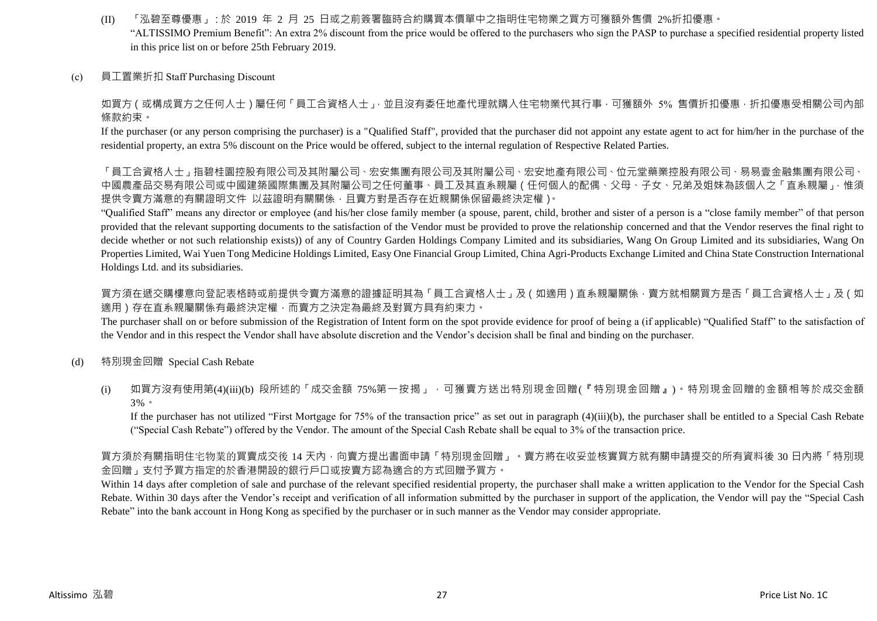- (II) 「泓碧至尊優惠」:於 2019 年 2 月 25 日或之前簽署臨時合約購買本價單中之指明住宅物業之買方可獲額外售價 2%折扣優惠。 "ALTISSIMO Premium Benefit": An extra 2% discount from the price would be offered to the purchasers who sign the PASP to purchase a specified residential property listed in this price list on or before 25th February 2019.
- (c) 員工置業折扣 Staff Purchasing Discount

如買方(或構成買方之任何人士)屬任何「員工合資格人士」,並且沒有委任地產代理就購入住宅物業代其行事,可獲額外 5% 售價折扣優惠,折扣優惠受相關公司內部 條款約束。

If the purchaser (or any person comprising the purchaser) is a "Qualified Staff", provided that the purchaser did not appoint any estate agent to act for him/her in the purchase of the residential property, an extra 5% discount on the Price would be offered, subject to the internal regulation of Respective Related Parties.

「員工合資格人士」指碧桂園控股有限公司及其附屬公司、宏安集團有限公司及其附屬公司、宏安地產有限公司、位元堂藥業控股有限公司、「易易壹金融集團有限公司、 中國農產品交易有限公司或中國建築國際集團及其附屬公司之任何董事、員工及其直系親屬 ( 任何個人的配偶、父母、子女、兄弟及姐妹為該個人之「直系親屬」, 惟須 提供令賣方滿意的有關證明文件 以茲證明有關關係,且賣方對是否存在近親關係保留最終決定權)。

"Qualified Staff" means any director or employee (and his/her close family member (a spouse, parent, child, brother and sister of a person is a "close family member" of that person provided that the relevant supporting documents to the satisfaction of the Vendor must be provided to prove the relationship concerned and that the Vendor reserves the final right to decide whether or not such relationship exists)) of any of Country Garden Holdings Company Limited and its subsidiaries, Wang On Group Limited and its subsidiaries, Wang On Properties Limited, Wai Yuen Tong Medicine Holdings Limited, Easy One Financial Group Limited, China Agri-Products Exchange Limited and China State Construction International Holdings Ltd. and its subsidiaries.

買方須在遞交購樓意向登記表格時或前提供令賣方滿意的證據証明其為「員工合資格人士」及(如適用)直系親屬關係,賣方就相關買方是否「員工合資格人士」及(如 適用)存在直系親屬關係有最終決定權,而賣方之決定為最終及對買方具有約束力。

The purchaser shall on or before submission of the Registration of Intent form on the spot provide evidence for proof of being a (if applicable) "Qualified Staff" to the satisfaction of the Vendor and in this respect the Vendor shall have absolute discretion and the Vendor's decision shall be final and binding on the purchaser.

- (d) 特別現金回贈 Special Cash Rebate
	- (i) 如買方沒有使用第(4)(iii)(b) 段所述的「成交金額 75%第一按揭」,可獲賣方送出特別現金回贈(『特別現金回贈』)。特別現金回贈的金額相等於成交金額 3%。

If the purchaser has not utilized "First Mortgage for 75% of the transaction price" as set out in paragraph (4)(iii)(b), the purchaser shall be entitled to a Special Cash Rebate ("Special Cash Rebate") offered by the Vendor. The amount of the Special Cash Rebate shall be equal to 3% of the transaction price.

買方須於有關指明住宅物業的買賣成交後 14 天內,向賣方提出書面申請「特別現金回贈」。賣方將在收妥並核實買方就有關申請提交的所有資料後 30 日內將「特別現 金回贈」支付予買方指定的於香港開設的銀行戶口或按賣方認為適合的方式回贈予買方。

Within 14 days after completion of sale and purchase of the relevant specified residential property, the purchaser shall make a written application to the Vendor for the Special Cash Rebate. Within 30 days after the Vendor's receipt and verification of all information submitted by the purchaser in support of the application, the Vendor will pay the "Special Cash Rebate" into the bank account in Hong Kong as specified by the purchaser or in such manner as the Vendor may consider appropriate.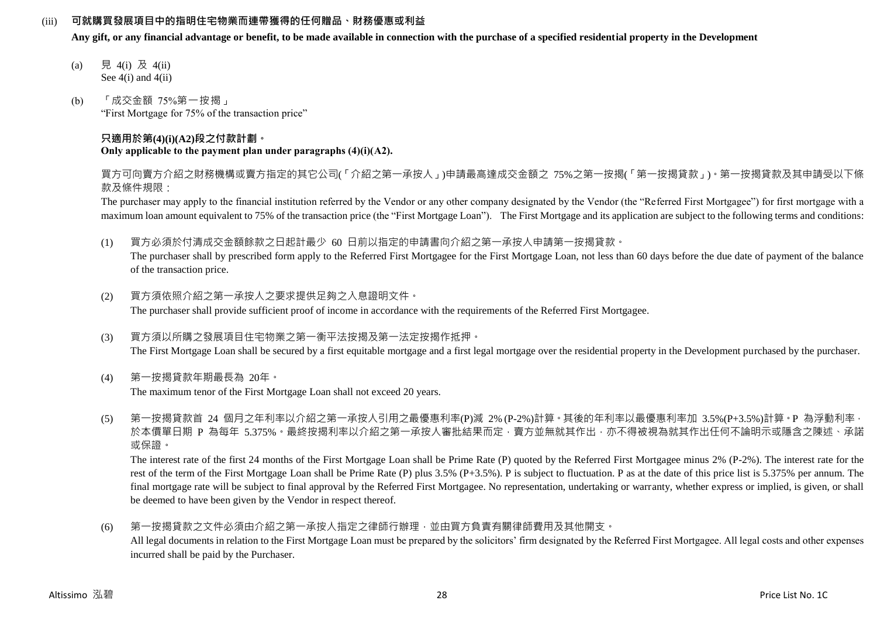### (iii) **可就購買發展項目中的指明住宅物業而連帶獲得的任何贈品、財務優惠或利益**

**Any gift, or any financial advantage or benefit, to be made available in connection with the purchase of a specified residential property in the Development**

- (a) 見 4(i) 及 4(ii) See  $4(i)$  and  $4(ii)$
- (b) 「成交金額 75%第一按揭」 "First Mortgage for 75% of the transaction price"

#### **只適用於第(4)(i)(A2)段之付款計劃。 Only applicable to the payment plan under paragraphs (4)(i)(A2).**

買方可向賣方介紹之財務機構或賣方指定的其它公司(「介紹之第一承按人」)申請最高達成交金額之 75%之第一按揭(「第一按揭貸款」)。第一按揭貸款及其申請受以下條 款及條件規限:

The purchaser may apply to the financial institution referred by the Vendor or any other company designated by the Vendor (the "Referred First Mortgagee") for first mortgage with a maximum loan amount equivalent to 75% of the transaction price (the "First Mortgage Loan"). The First Mortgage and its application are subject to the following terms and conditions:

(1) 買方必須於付清成交金額餘款之日起計最少 60 日前以指定的申請書向介紹之第一承按人申請第一按揭貸款。

The purchaser shall by prescribed form apply to the Referred First Mortgagee for the First Mortgage Loan, not less than 60 days before the due date of payment of the balance of the transaction price.

- (2) 買方須依照介紹之第一承按人之要求提供足夠之入息證明文件。 The purchaser shall provide sufficient proof of income in accordance with the requirements of the Referred First Mortgagee.
- (3) 買方須以所購之發展項目住宅物業之第一衡平法按揭及第一法定按揭作抵押。 The First Mortgage Loan shall be secured by a first equitable mortgage and a first legal mortgage over the residential property in the Development purchased by the purchaser.
- (4) 第一按揭貸款年期最長為 20年。 The maximum tenor of the First Mortgage Loan shall not exceed 20 years.
- (5) 第一按揭貸款首 24 個月之年利率以介紹之第一承按人引用之最優惠利率(P)減 2% (P-2%)計算。其後的年利率以最優惠利率加 3.5%(P+3.5%)計算。P 為浮動利率, 於本價單日期 P 為每年 5.375%。最終按揭利率以介紹之第一承按人審批結果而定,賣方並無就其作出,亦不得被視為就其作出任何不論明示或隱含之陳述、承諾 或保證。

The interest rate of the first 24 months of the First Mortgage Loan shall be Prime Rate (P) quoted by the Referred First Mortgagee minus 2% (P-2%). The interest rate for the rest of the term of the First Mortgage Loan shall be Prime Rate (P) plus 3.5% (P+3.5%). P is subject to fluctuation. P as at the date of this price list is 5.375% per annum. The final mortgage rate will be subject to final approval by the Referred First Mortgagee. No representation, undertaking or warranty, whether express or implied, is given, or shall be deemed to have been given by the Vendor in respect thereof.

(6) 第一按揭貸款之文件必須由介紹之第一承按人指定之律師行辦理,並由買方負責有關律師費用及其他開支。 All legal documents in relation to the First Mortgage Loan must be prepared by the solicitors' firm designated by the Referred First Mortgagee. All legal costs and other expenses incurred shall be paid by the Purchaser.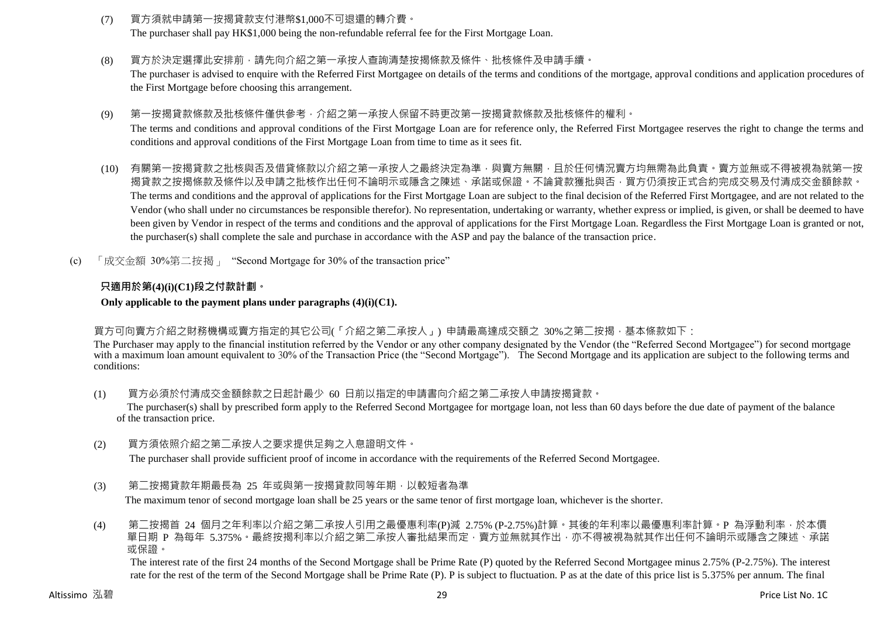- (7) 買方須就申請第一按揭貸款支付港幣\$1,000不可退還的轉介費。 The purchaser shall pay HK\$1,000 being the non-refundable referral fee for the First Mortgage Loan.
- (8) 買方於決定選擇此安排前,請先向介紹之第一承按人查詢清楚按揭條款及條件、批核條件及申請手續。 The purchaser is advised to enquire with the Referred First Mortgagee on details of the terms and conditions of the mortgage, approval conditions and application procedures of the First Mortgage before choosing this arrangement.
- (9) 第一按揭貸款條款及批核條件僅供參考,介紹之第一承按人保留不時更改第一按揭貸款條款及批核條件的權利。 The terms and conditions and approval conditions of the First Mortgage Loan are for reference only, the Referred First Mortgagee reserves the right to change the terms and conditions and approval conditions of the First Mortgage Loan from time to time as it sees fit.
- (10) 有關第一按揭貸款之批核與否及借貸條款以介紹之第一承按人之最終決定為準,與賣方無關,且於任何情況賣方均無需為此負責。賣方並無或不得被視為就第一按 揭貸款之按揭條款及條件以及申請之批核作出任何不論明示或隱含之陳述、承諾或保證。不論貸款獲批與否,買方仍須按正式合約完成交易及付清成交金額餘款。 The terms and conditions and the approval of applications for the First Mortgage Loan are subject to the final decision of the Referred First Mortgagee, and are not related to the Vendor (who shall under no circumstances be responsible therefor). No representation, undertaking or warranty, whether express or implied, is given, or shall be deemed to have been given by Vendor in respect of the terms and conditions and the approval of applications for the First Mortgage Loan. Regardless the First Mortgage Loan is granted or not, the purchaser(s) shall complete the sale and purchase in accordance with the ASP and pay the balance of the transaction price.
- (c) 「成交金額 30%第二按揭」 "Second Mortgage for 30% of the transaction price"

# **只適用於第(4)(i)(C1)段之付款計劃。**

### **Only applicable to the payment plans under paragraphs (4)(i)(C1).**

# 買方可向賣方介紹之財務機構或賣方指定的其它公司(「介紹之第二承按人」) 申請最高達成交額之 30%之第二按揭,基本條款如下:

The Purchaser may apply to the financial institution referred by the Vendor or any other company designated by the Vendor (the "Referred Second Mortgagee") for second mortgage with a maximum loan amount equivalent to 30% of the Transaction Price (the "Second Mortgage"). The Second Mortgage and its application are subject to the following terms and conditions:

(1) 買方必須於付清成交金額餘款之日起計最少 60 日前以指定的申請書向介紹之第二承按人申請按揭貸款。

The purchaser(s) shall by prescribed form apply to the Referred Second Mortgagee for mortgage loan, not less than 60 days before the due date of payment of the balance of the transaction price.

(2) 買方須依照介紹之第二承按人之要求提供足夠之入息證明文件。

The purchaser shall provide sufficient proof of income in accordance with the requirements of the Referred Second Mortgagee.

(3) 第二按揭貸款年期最長為 25 年或與第一按揭貸款同等年期,以較短者為準 The maximum tenor of second mortgage loan shall be 25 years or the same tenor of first mortgage loan, whichever is the shorter.

(4) 第二按揭首 24 個月之年利率以介紹之第二承按人引用之最優惠利率(P)減 2.75% (P-2.75%)計算。其後的年利率以最優惠利率計算。P 為浮動利率,於本價 單日期 P 為每年 5.375%。最終按揭利率以介紹之第二承按人審批結果而定,賣方並無就其作出,亦不得被視為就其作出任何不論明示或隱含之陳述、承諾 或保證。

The interest rate of the first 24 months of the Second Mortgage shall be Prime Rate (P) quoted by the Referred Second Mortgagee minus 2.75% (P-2.75%). The interest rate for the rest of the term of the Second Mortgage shall be Prime Rate (P). P is subject to fluctuation. P as at the date of this price list is 5.375% per annum. The final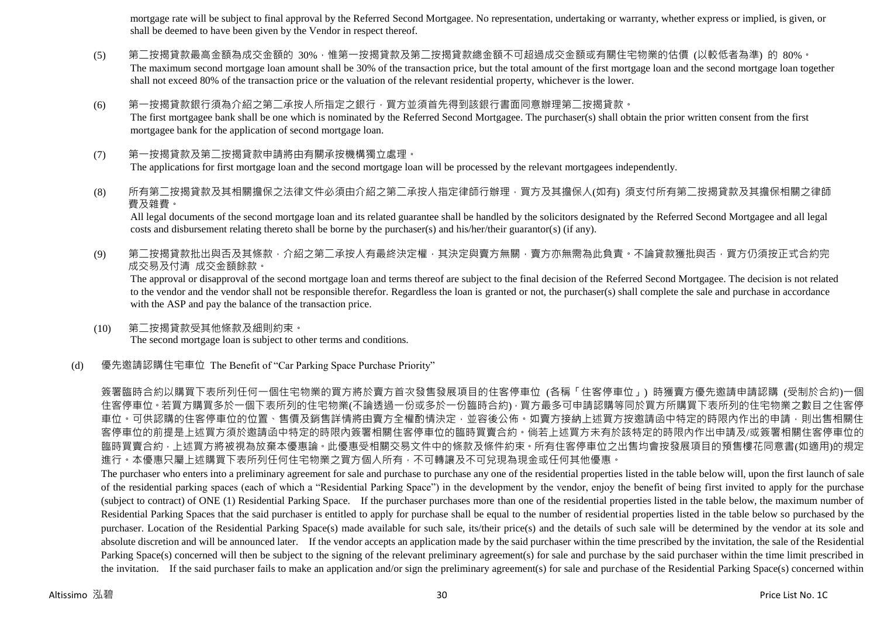mortgage rate will be subject to final approval by the Referred Second Mortgagee. No representation, undertaking or warranty, whether express or implied, is given, or shall be deemed to have been given by the Vendor in respect thereof.

- (5) 第二按揭貸款最高金額為成交金額的 30%,惟第一按揭貸款及第二按揭貸款總金額不可超過成交金額或有關住宅物業的估價 (以較低者為準) 的 80%。 The maximum second mortgage loan amount shall be 30% of the transaction price, but the total amount of the first mortgage loan and the second mortgage loan together shall not exceed 80% of the transaction price or the valuation of the relevant residential property, whichever is the lower.
- (6) 第一按揭貸款銀行須為介紹之第二承按人所指定之銀行,買方並須首先得到該銀行書面同意辦理第二按揭貸款。 The first mortgagee bank shall be one which is nominated by the Referred Second Mortgagee. The purchaser(s) shall obtain the prior written consent from the first mortgagee bank for the application of second mortgage loan.
- (7) 第一按揭貸款及第二按揭貸款申請將由有關承按機構獨立處理。 The applications for first mortgage loan and the second mortgage loan will be processed by the relevant mortgagees independently.
- (8) 所有第二按揭貸款及其相關擔保之法律文件必須由介紹之第二承按人指定律師行辦理,買方及其擔保人(如有) 須支付所有第二按揭貸款及其擔保相關之律師 費及雜費。

All legal documents of the second mortgage loan and its related guarantee shall be handled by the solicitors designated by the Referred Second Mortgagee and all legal costs and disbursement relating thereto shall be borne by the purchaser(s) and his/her/their guarantor(s) (if any).

(9) 第二按揭貸款批出與否及其條款,介紹之第二承按人有最終決定權,其決定與賣方無關,賣方亦無需為此負責。不論貸款獲批與否,買方仍須按正式合約完 成交易及付清 成交金額餘款。

The approval or disapproval of the second mortgage loan and terms thereof are subject to the final decision of the Referred Second Mortgagee. The decision is not related to the vendor and the vendor shall not be responsible therefor. Regardless the loan is granted or not, the purchaser(s) shall complete the sale and purchase in accordance with the ASP and pay the balance of the transaction price.

(10) 第二按揭貸款受其他條款及細則約束。 The second mortgage loan is subject to other terms and conditions.

#### (d) 優先邀請認購住宅車位 The Benefit of "Car Parking Space Purchase Priority"

簽署臨時合約以購買下表所列任何一個住宅物業的買方將於賣方首次發售發展項目的住客停車位 (各稱「住客停車位」) 時獲賣方優先邀請申請認購 (受制於合約)一個 住客停車位。若買方購買多於一個下表所列的住宅物業(不論透過一份或多於一份臨時合約),買方最多可申請認購等同於買方所購買下表所列的住宅物業之數目之住客停 車位。可供認購的住客停車位的位置、售價及銷售詳情將由賣方全權酌情決定,並容後公佈。如賣方接納上述買方按邀請函中特定的時限內作出的申請,則出售相關住 客停車位的前提是上述買方須於邀請函中特定的時限內簽署相關住客停車位的臨時買賣合約。倘若上述買方未有於該特定的時限內作出申請及/或簽署相關住客停車位的 臨時買賣合約,上述買方將被視為放棄本優惠論。此優惠受相關交易文件中的條款及條件約束。所有住客停車位之出售均會按發展項目的預售樓花同意書(如適用)的規定 進行。本優惠只屬上述購買下表所列任何住宅物業之買方個人所有,不可轉讓及不可兌現為現金或任何其他優惠。

The purchaser who enters into a preliminary agreement for sale and purchase to purchase any one of the residential properties listed in the table below will, upon the first launch of sale of the residential parking spaces (each of which a "Residential Parking Space") in the development by the vendor, enjoy the benefit of being first invited to apply for the purchase (subject to contract) of ONE (1) Residential Parking Space. If the purchaser purchases more than one of the residential properties listed in the table below, the maximum number of Residential Parking Spaces that the said purchaser is entitled to apply for purchase shall be equal to the number of residential properties listed in the table below so purchased by the purchaser. Location of the Residential Parking Space(s) made available for such sale, its/their price(s) and the details of such sale will be determined by the vendor at its sole and absolute discretion and will be announced later. If the vendor accepts an application made by the said purchaser within the time prescribed by the invitation, the sale of the Residential Parking Space(s) concerned will then be subject to the signing of the relevant preliminary agreement(s) for sale and purchase by the said purchaser within the time limit prescribed in the invitation. If the said purchaser fails to make an application and/or sign the preliminary agreement(s) for sale and purchase of the Residential Parking Space(s) concerned within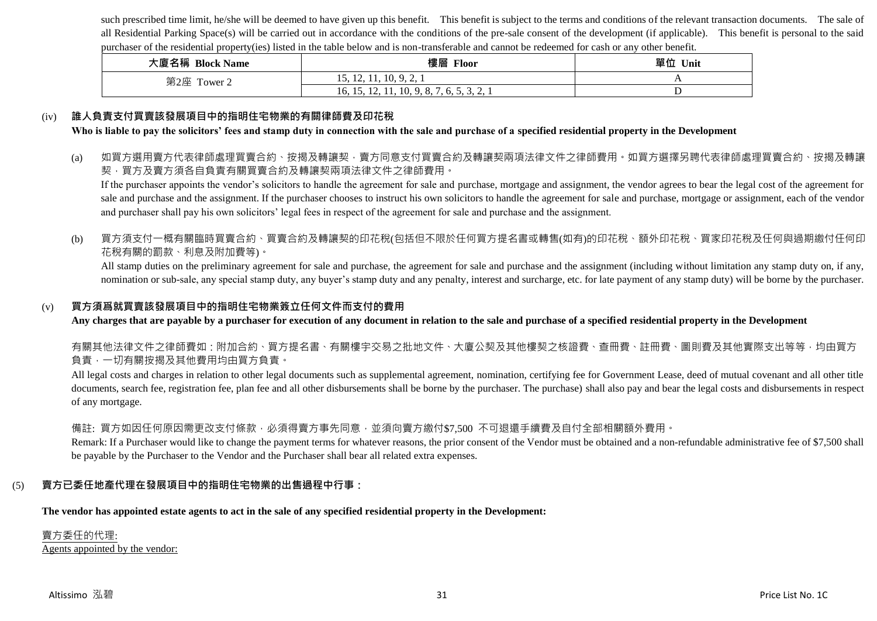such prescribed time limit, he/she will be deemed to have given up this benefit. This benefit is subject to the terms and conditions of the relevant transaction documents. The sale of all Residential Parking Space(s) will be carried out in accordance with the conditions of the pre-sale consent of the development (if applicable). This benefit is personal to the said purchaser of the residential property(ies) listed in the table below and is non-transferable and cannot be redeemed for cash or any other benefit.

| 大廈名稱 Block Name | 樓層<br>Floor                                                                                                        | 單位 Unit |
|-----------------|--------------------------------------------------------------------------------------------------------------------|---------|
| 第2座 Tower 2     | 15, 12, 11, 10, 9, 2, 1                                                                                            |         |
|                 | 11, 10, 9, 8, 7<br>16, 15,<br>-65<br>12,<br>$\mathbf{v}_1, \mathbf{v}_2, \mathbf{v}_3, \mathbf{v}_4, \mathbf{v}_5$ |         |

#### (iv) **誰人負責支付買賣該發展項目中的指明住宅物業的有關律師費及印花稅**

**Who is liable to pay the solicitors' fees and stamp duty in connection with the sale and purchase of a specified residential property in the Development**

(a) 如買方選用賣方代表律師處理買賣合約、按揭及轉讓契‧賣方同意支付買賣合約及轉讓契兩項法律文件之律師費用。如買方選擇另聘代表律師處理買賣合約、按揭及轉讓 契,買方及賣方須各自負責有關買賣合約及轉讓契兩項法律文件之律師費用。

If the purchaser appoints the vendor's solicitors to handle the agreement for sale and purchase, mortgage and assignment, the vendor agrees to bear the legal cost of the agreement for sale and purchase and the assignment. If the purchaser chooses to instruct his own solicitors to handle the agreement for sale and purchase, mortgage or assignment, each of the vendor and purchaser shall pay his own solicitors' legal fees in respect of the agreement for sale and purchase and the assignment.

#### (b) 買方須支付一概有關臨時買賣合約、買賣合約及轉讓契的印花稅(包括但不限於任何買方提名書或轉售(如有)的印花稅、額外印花稅、買家印花稅及任何與過期繳付任何印 花稅有關的罰款、利息及附加費等)。

All stamp duties on the preliminary agreement for sale and purchase, the agreement for sale and purchase and the assignment (including without limitation any stamp duty on, if any, nomination or sub-sale, any special stamp duty, any buyer's stamp duty and any penalty, interest and surcharge, etc. for late payment of any stamp duty) will be borne by the purchaser.

#### (v) **買方須爲就買賣該發展項目中的指明住宅物業簽立任何文件而支付的費用**

**Any charges that are payable by a purchaser for execution of any document in relation to the sale and purchase of a specified residential property in the Development**

有關其他法律文件之律師費如:附加合約、買方提名書、有關樓宇交易之批地文件、大廈公契及其他樓契之核證費、查冊費、註冊費、圖則費及其他實際支出等等,均由買方 負責,一切有關按揭及其他費用均由買方負責。

All legal costs and charges in relation to other legal documents such as supplemental agreement, nomination, certifying fee for Government Lease, deed of mutual covenant and all other title documents, search fee, registration fee, plan fee and all other disbursements shall be borne by the purchaser. The purchase) shall also pay and bear the legal costs and disbursements in respect of any mortgage.

#### 備註: 買方如因任何原因需更改支付條款,必須得賣方事先同意,並須向賣方繳付\$7,500 不可退還手續費及自付全部相關額外費用。

Remark: If a Purchaser would like to change the payment terms for whatever reasons, the prior consent of the Vendor must be obtained and a non-refundable administrative fee of \$7,500 shall be payable by the Purchaser to the Vendor and the Purchaser shall bear all related extra expenses.

### (5) **賣方已委任地產代理在發展項目中的指明住宅物業的出售過程中行事:**

**The vendor has appointed estate agents to act in the sale of any specified residential property in the Development:**

#### 賣方委任的代理: Agents appointed by the vendor: